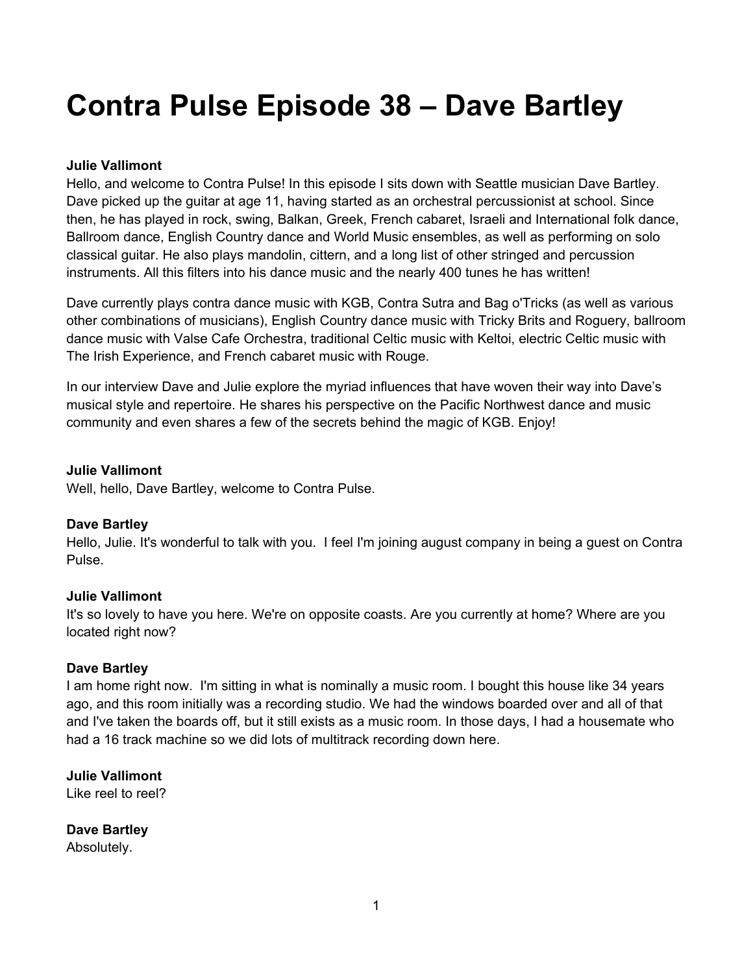# **Contra Pulse Episode 38 – Dave Bartley**

# **Julie Vallimont**

Hello, and welcome to Contra Pulse! In this episode I sits down with Seattle musician Dave Bartley. Dave picked up the guitar at age 11, having started as an orchestral percussionist at school. Since then, he has played in rock, swing, Balkan, Greek, French cabaret, Israeli and International folk dance, Ballroom dance, English Country dance and World Music ensembles, as well as performing on solo classical guitar. He also plays mandolin, cittern, and a long list of other stringed and percussion instruments. All this filters into his dance music and the nearly 400 tunes he has written!

Dave currently plays contra dance music with KGB, Contra Sutra and Bag o'Tricks (as well as various other combinations of musicians), English Country dance music with Tricky Brits and Roguery, ballroom dance music with Valse Cafe Orchestra, traditional Celtic music with Keltoi, electric Celtic music with The Irish Experience, and French cabaret music with Rouge.

In our interview Dave and Julie explore the myriad influences that have woven their way into Dave's musical style and repertoire. He shares his perspective on the Pacific Northwest dance and music community and even shares a few of the secrets behind the magic of KGB. Enjoy!

**Julie Vallimont** 

Well, hello, Dave Bartley, welcome to Contra Pulse.

# **Dave Bartley**

Hello, Julie. It's wonderful to talk with you. I feel I'm joining august company in being a guest on Contra Pulse.

# **Julie Vallimont**

It's so lovely to have you here. We're on opposite coasts. Are you currently at home? Where are you located right now?

# **Dave Bartley**

I am home right now. I'm sitting in what is nominally a music room. I bought this house like 34 years ago, and this room initially was a recording studio. We had the windows boarded over and all of that and I've taken the boards off, but it still exists as a music room. In those days, I had a housemate who had a 16 track machine so we did lots of multitrack recording down here.

**Julie Vallimont**  Like reel to reel?

**Dave Bartley**  Absolutely.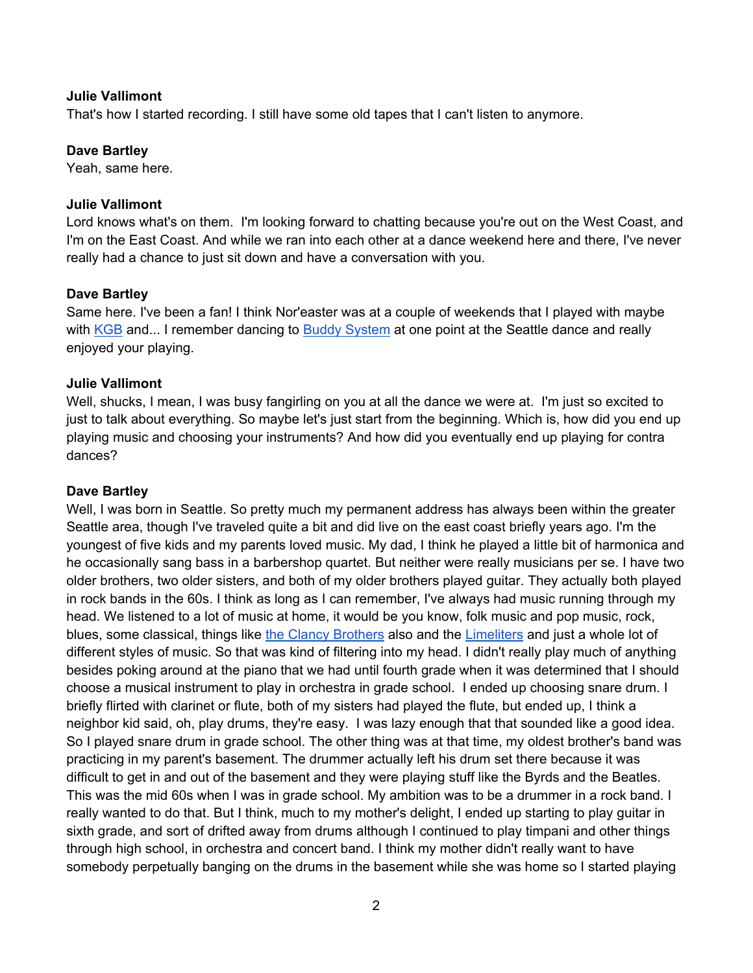That's how I started recording. I still have some old tapes that I can't listen to anymore.

#### **Dave Bartley**

Yeah, same here.

#### **Julie Vallimont**

Lord knows what's on them. I'm looking forward to chatting because you're out on the West Coast, and I'm on the East Coast. And while we ran into each other at a dance weekend here and there, I've never really had a chance to just sit down and have a conversation with you.

# **Dave Bartley**

Same here. I've been a fan! I think Nor'easter was at a couple of weekends that I played with maybe with KGB and... I remember dancing to Buddy System at one point at the Seattle dance and really enjoyed your playing.

# **Julie Vallimont**

Well, shucks, I mean, I was busy fangirling on you at all the dance we were at. I'm just so excited to just to talk about everything. So maybe let's just start from the beginning. Which is, how did you end up playing music and choosing your instruments? And how did you eventually end up playing for contra dances?

#### **Dave Bartley**

Well, I was born in Seattle. So pretty much my permanent address has always been within the greater Seattle area, though I've traveled quite a bit and did live on the east coast briefly years ago. I'm the youngest of five kids and my parents loved music. My dad, I think he played a little bit of harmonica and he occasionally sang bass in a barbershop quartet. But neither were really musicians per se. I have two older brothers, two older sisters, and both of my older brothers played guitar. They actually both played in rock bands in the 60s. I think as long as I can remember, I've always had music running through my head. We listened to a lot of music at home, it would be you know, folk music and pop music, rock, blues, some classical, things like the Clancy Brothers also and the Limeliters and just a whole lot of different styles of music. So that was kind of filtering into my head. I didn't really play much of anything besides poking around at the piano that we had until fourth grade when it was determined that I should choose a musical instrument to play in orchestra in grade school. I ended up choosing snare drum. I briefly flirted with clarinet or flute, both of my sisters had played the flute, but ended up, I think a neighbor kid said, oh, play drums, they're easy. I was lazy enough that that sounded like a good idea. So I played snare drum in grade school. The other thing was at that time, my oldest brother's band was practicing in my parent's basement. The drummer actually left his drum set there because it was difficult to get in and out of the basement and they were playing stuff like the Byrds and the Beatles. This was the mid 60s when I was in grade school. My ambition was to be a drummer in a rock band. I really wanted to do that. But I think, much to my mother's delight, I ended up starting to play guitar in sixth grade, and sort of drifted away from drums although I continued to play timpani and other things through high school, in orchestra and concert band. I think my mother didn't really want to have somebody perpetually banging on the drums in the basement while she was home so I started playing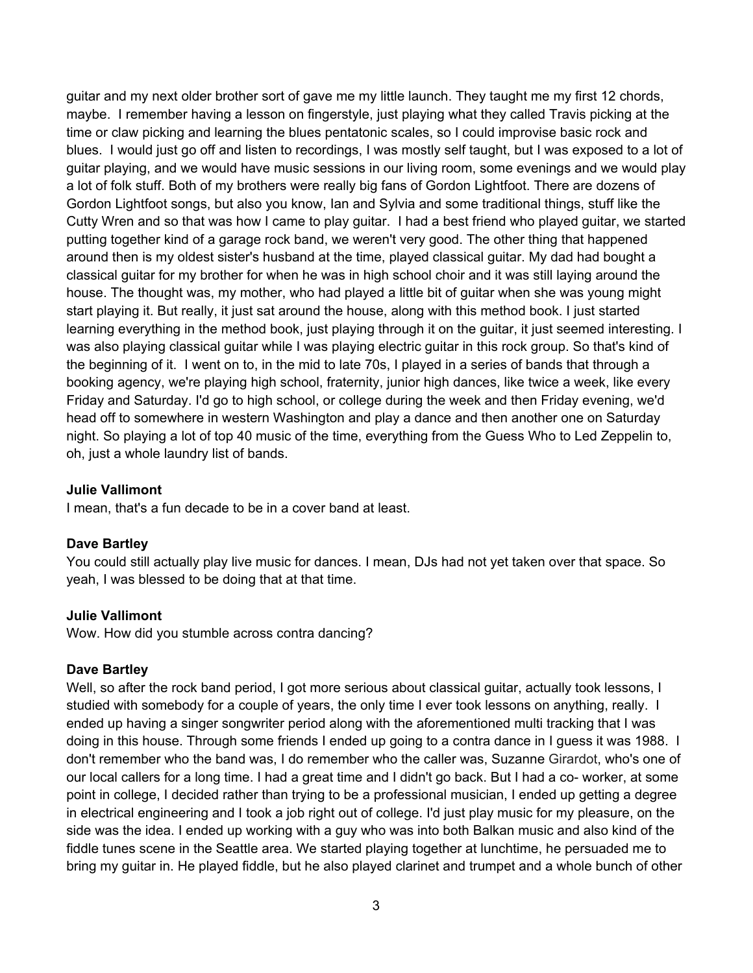guitar and my next older brother sort of gave me my little launch. They taught me my first 12 chords, maybe. I remember having a lesson on fingerstyle, just playing what they called Travis picking at the time or claw picking and learning the blues pentatonic scales, so I could improvise basic rock and blues. I would just go off and listen to recordings, I was mostly self taught, but I was exposed to a lot of guitar playing, and we would have music sessions in our living room, some evenings and we would play a lot of folk stuff. Both of my brothers were really big fans of Gordon Lightfoot. There are dozens of Gordon Lightfoot songs, but also you know, Ian and Sylvia and some traditional things, stuff like the Cutty Wren and so that was how I came to play guitar. I had a best friend who played guitar, we started putting together kind of a garage rock band, we weren't very good. The other thing that happened around then is my oldest sister's husband at the time, played classical guitar. My dad had bought a classical guitar for my brother for when he was in high school choir and it was still laying around the house. The thought was, my mother, who had played a little bit of guitar when she was young might start playing it. But really, it just sat around the house, along with this method book. I just started learning everything in the method book, just playing through it on the guitar, it just seemed interesting. I was also playing classical guitar while I was playing electric guitar in this rock group. So that's kind of the beginning of it. I went on to, in the mid to late 70s, I played in a series of bands that through a booking agency, we're playing high school, fraternity, junior high dances, like twice a week, like every Friday and Saturday. I'd go to high school, or college during the week and then Friday evening, we'd head off to somewhere in western Washington and play a dance and then another one on Saturday night. So playing a lot of top 40 music of the time, everything from the Guess Who to Led Zeppelin to, oh, just a whole laundry list of bands.

#### **Julie Vallimont**

I mean, that's a fun decade to be in a cover band at least.

#### **Dave Bartley**

You could still actually play live music for dances. I mean, DJs had not yet taken over that space. So yeah, I was blessed to be doing that at that time.

#### **Julie Vallimont**

Wow. How did you stumble across contra dancing?

## **Dave Bartley**

Well, so after the rock band period, I got more serious about classical guitar, actually took lessons, I studied with somebody for a couple of years, the only time I ever took lessons on anything, really. I ended up having a singer songwriter period along with the aforementioned multi tracking that I was doing in this house. Through some friends I ended up going to a contra dance in I guess it was 1988. I don't remember who the band was, I do remember who the caller was, Suzanne Girardot, who's one of our local callers for a long time. I had a great time and I didn't go back. But I had a co- worker, at some point in college, I decided rather than trying to be a professional musician, I ended up getting a degree in electrical engineering and I took a job right out of college. I'd just play music for my pleasure, on the side was the idea. I ended up working with a guy who was into both Balkan music and also kind of the fiddle tunes scene in the Seattle area. We started playing together at lunchtime, he persuaded me to bring my guitar in. He played fiddle, but he also played clarinet and trumpet and a whole bunch of other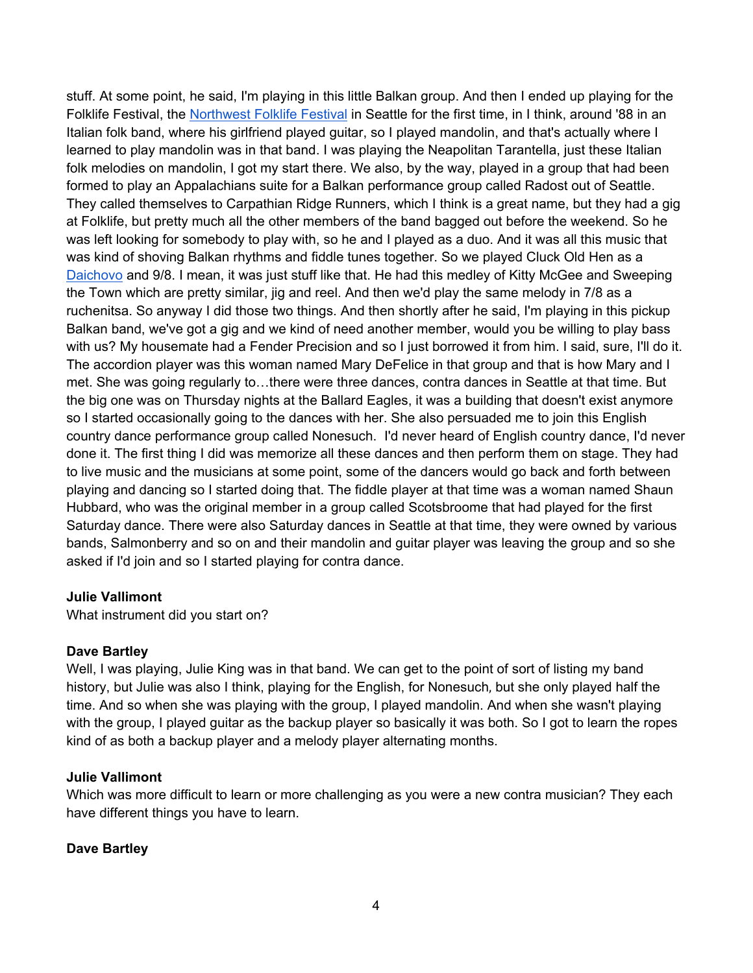stuff. At some point, he said, I'm playing in this little Balkan group. And then I ended up playing for the Folklife Festival, the Northwest Folklife Festival in Seattle for the first time, in I think, around '88 in an Italian folk band, where his girlfriend played guitar, so I played mandolin, and that's actually where I learned to play mandolin was in that band. I was playing the Neapolitan Tarantella, just these Italian folk melodies on mandolin, I got my start there. We also, by the way, played in a group that had been formed to play an Appalachians suite for a Balkan performance group called Radost out of Seattle. They called themselves to Carpathian Ridge Runners, which I think is a great name, but they had a gig at Folklife, but pretty much all the other members of the band bagged out before the weekend. So he was left looking for somebody to play with, so he and I played as a duo. And it was all this music that was kind of shoving Balkan rhythms and fiddle tunes together. So we played Cluck Old Hen as a Daichovo and 9/8. I mean, it was just stuff like that. He had this medley of Kitty McGee and Sweeping the Town which are pretty similar, jig and reel. And then we'd play the same melody in 7/8 as a ruchenitsa. So anyway I did those two things. And then shortly after he said, I'm playing in this pickup Balkan band, we've got a gig and we kind of need another member, would you be willing to play bass with us? My housemate had a Fender Precision and so I just borrowed it from him. I said, sure, I'll do it. The accordion player was this woman named Mary DeFelice in that group and that is how Mary and I met. She was going regularly to…there were three dances, contra dances in Seattle at that time. But the big one was on Thursday nights at the Ballard Eagles, it was a building that doesn't exist anymore so I started occasionally going to the dances with her. She also persuaded me to join this English country dance performance group called Nonesuch. I'd never heard of English country dance, I'd never done it. The first thing I did was memorize all these dances and then perform them on stage. They had to live music and the musicians at some point, some of the dancers would go back and forth between playing and dancing so I started doing that. The fiddle player at that time was a woman named Shaun Hubbard, who was the original member in a group called Scotsbroome that had played for the first Saturday dance. There were also Saturday dances in Seattle at that time, they were owned by various bands, Salmonberry and so on and their mandolin and guitar player was leaving the group and so she asked if I'd join and so I started playing for contra dance.

# **Julie Vallimont**

What instrument did you start on?

# **Dave Bartley**

Well, I was playing, Julie King was in that band. We can get to the point of sort of listing my band history, but Julie was also I think, playing for the English, for Nonesuch, but she only played half the time. And so when she was playing with the group, I played mandolin. And when she wasn't playing with the group, I played guitar as the backup player so basically it was both. So I got to learn the ropes kind of as both a backup player and a melody player alternating months.

#### **Julie Vallimont**

Which was more difficult to learn or more challenging as you were a new contra musician? They each have different things you have to learn.

# **Dave Bartley**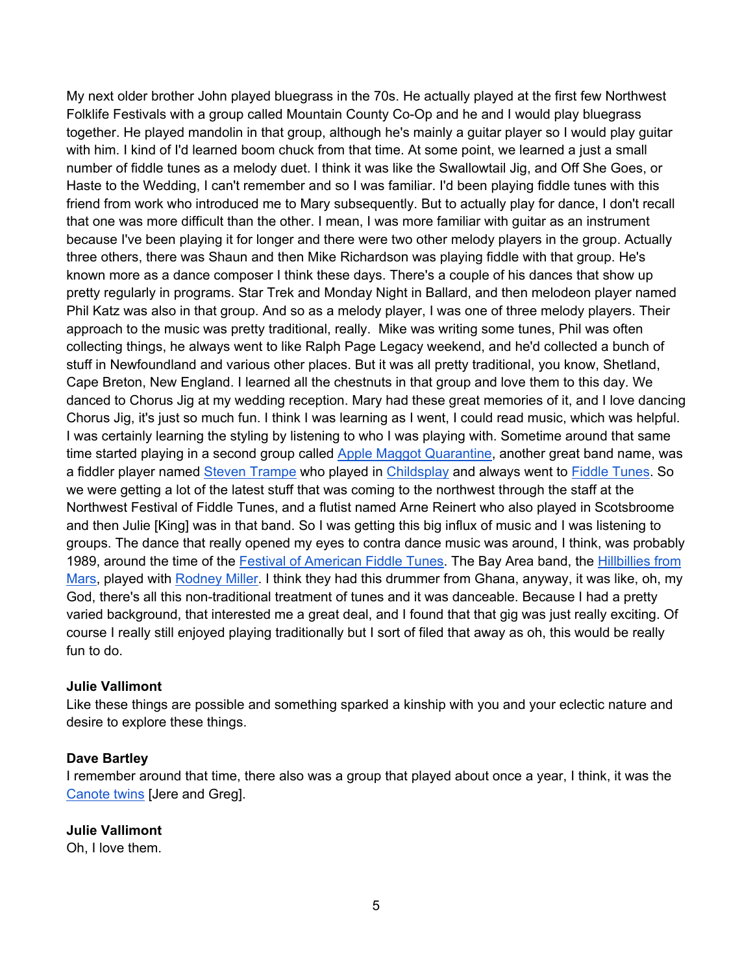My next older brother John played bluegrass in the 70s. He actually played at the first few Northwest Folklife Festivals with a group called Mountain County Co-Op and he and I would play bluegrass together. He played mandolin in that group, although he's mainly a guitar player so I would play guitar with him. I kind of I'd learned boom chuck from that time. At some point, we learned a just a small number of fiddle tunes as a melody duet. I think it was like the Swallowtail Jig, and Off She Goes, or Haste to the Wedding, I can't remember and so I was familiar. I'd been playing fiddle tunes with this friend from work who introduced me to Mary subsequently. But to actually play for dance, I don't recall that one was more difficult than the other. I mean, I was more familiar with guitar as an instrument because I've been playing it for longer and there were two other melody players in the group. Actually three others, there was Shaun and then Mike Richardson was playing fiddle with that group. He's known more as a dance composer I think these days. There's a couple of his dances that show up pretty regularly in programs. Star Trek and Monday Night in Ballard, and then melodeon player named Phil Katz was also in that group. And so as a melody player, I was one of three melody players. Their approach to the music was pretty traditional, really. Mike was writing some tunes, Phil was often collecting things, he always went to like Ralph Page Legacy weekend, and he'd collected a bunch of stuff in Newfoundland and various other places. But it was all pretty traditional, you know, Shetland, Cape Breton, New England. I learned all the chestnuts in that group and love them to this day. We danced to Chorus Jig at my wedding reception. Mary had these great memories of it, and I love dancing Chorus Jig, it's just so much fun. I think I was learning as I went, I could read music, which was helpful. I was certainly learning the styling by listening to who I was playing with. Sometime around that same time started playing in a second group called Apple Maggot Quarantine, another great band name, was a fiddler player named Steven Trampe who played in Childsplay and always went to Fiddle Tunes. So we were getting a lot of the latest stuff that was coming to the northwest through the staff at the Northwest Festival of Fiddle Tunes, and a flutist named Arne Reinert who also played in Scotsbroome and then Julie [King] was in that band. So I was getting this big influx of music and I was listening to groups. The dance that really opened my eyes to contra dance music was around, I think, was probably 1989, around the time of the Festival of American Fiddle Tunes. The Bay Area band, the Hillbillies from Mars, played with Rodney Miller. I think they had this drummer from Ghana, anyway, it was like, oh, my God, there's all this non-traditional treatment of tunes and it was danceable. Because I had a pretty varied background, that interested me a great deal, and I found that that gig was just really exciting. Of course I really still enjoyed playing traditionally but I sort of filed that away as oh, this would be really fun to do.

# **Julie Vallimont**

Like these things are possible and something sparked a kinship with you and your eclectic nature and desire to explore these things.

#### **Dave Bartley**

I remember around that time, there also was a group that played about once a year, I think, it was the Canote twins [Jere and Greg].

#### **Julie Vallimont**

Oh, I love them.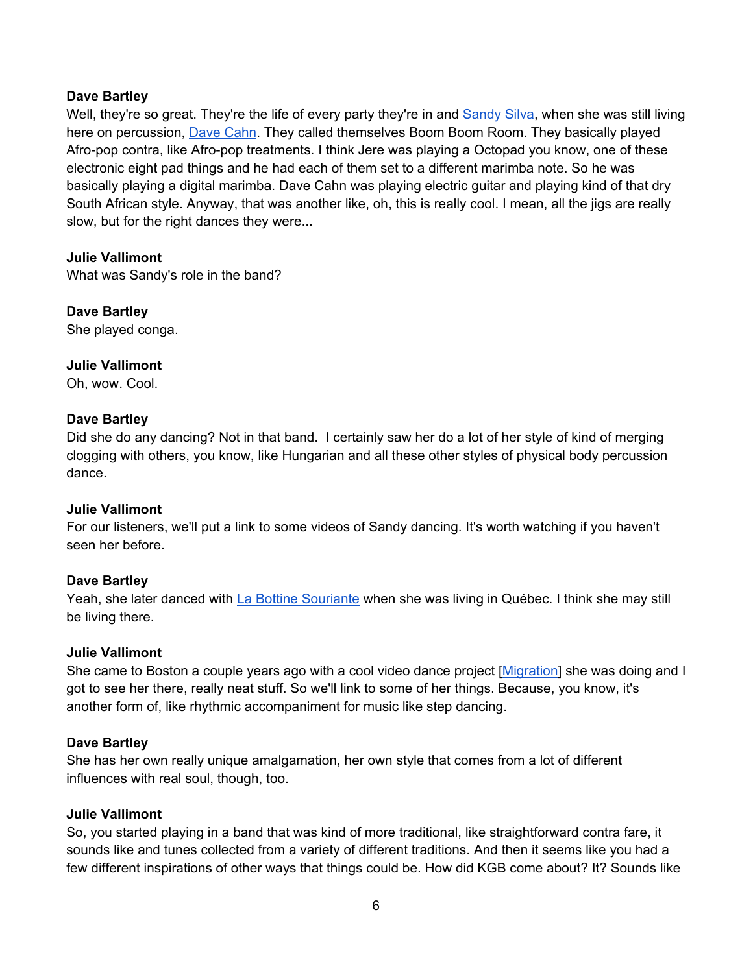# **Dave Bartley**

Well, they're so great. They're the life of every party they're in and Sandy Silva, when she was still living here on percussion, Dave Cahn. They called themselves Boom Boom Room. They basically played Afro-pop contra, like Afro-pop treatments. I think Jere was playing a Octopad you know, one of these electronic eight pad things and he had each of them set to a different marimba note. So he was basically playing a digital marimba. Dave Cahn was playing electric guitar and playing kind of that dry South African style. Anyway, that was another like, oh, this is really cool. I mean, all the jigs are really slow, but for the right dances they were...

# **Julie Vallimont**

What was Sandy's role in the band?

# **Dave Bartley**

She played conga.

# **Julie Vallimont**

Oh, wow. Cool.

# **Dave Bartley**

Did she do any dancing? Not in that band. I certainly saw her do a lot of her style of kind of merging clogging with others, you know, like Hungarian and all these other styles of physical body percussion dance.

# **Julie Vallimont**

For our listeners, we'll put a link to some videos of Sandy dancing. It's worth watching if you haven't seen her before.

# **Dave Bartley**

Yeah, she later danced with La Bottine Souriante when she was living in Québec. I think she may still be living there.

# **Julie Vallimont**

She came to Boston a couple years ago with a cool video dance project [Migration] she was doing and I got to see her there, really neat stuff. So we'll link to some of her things. Because, you know, it's another form of, like rhythmic accompaniment for music like step dancing.

# **Dave Bartley**

She has her own really unique amalgamation, her own style that comes from a lot of different influences with real soul, though, too.

# **Julie Vallimont**

So, you started playing in a band that was kind of more traditional, like straightforward contra fare, it sounds like and tunes collected from a variety of different traditions. And then it seems like you had a few different inspirations of other ways that things could be. How did KGB come about? It? Sounds like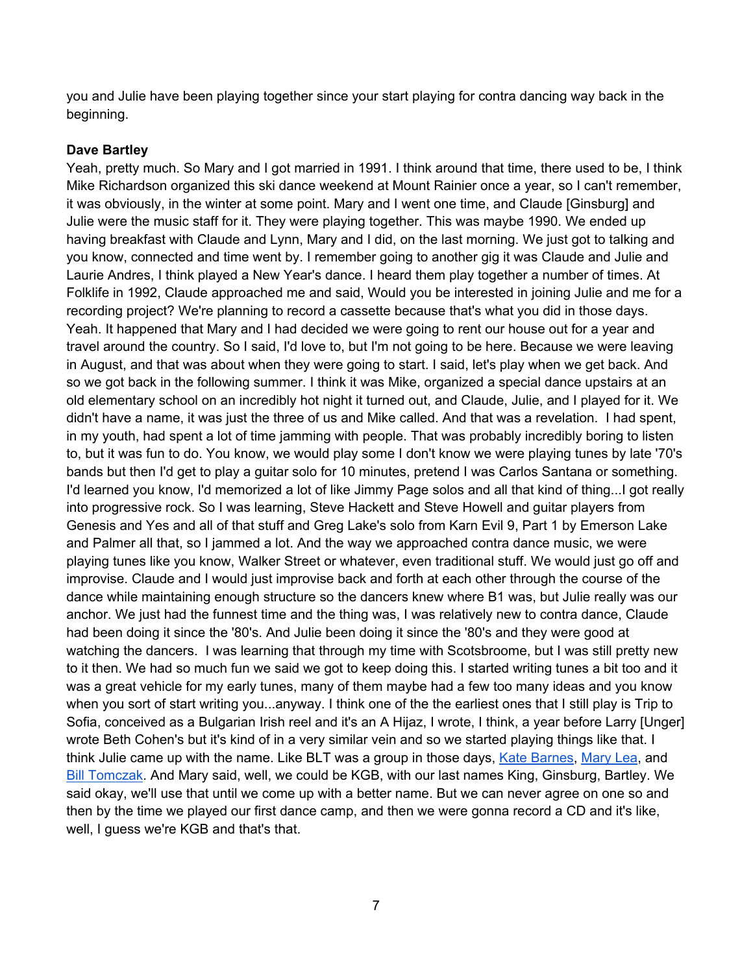you and Julie have been playing together since your start playing for contra dancing way back in the beginning.

# **Dave Bartley**

Yeah, pretty much. So Mary and I got married in 1991. I think around that time, there used to be, I think Mike Richardson organized this ski dance weekend at Mount Rainier once a year, so I can't remember, it was obviously, in the winter at some point. Mary and I went one time, and Claude [Ginsburg] and Julie were the music staff for it. They were playing together. This was maybe 1990. We ended up having breakfast with Claude and Lynn, Mary and I did, on the last morning. We just got to talking and you know, connected and time went by. I remember going to another gig it was Claude and Julie and Laurie Andres, I think played a New Year's dance. I heard them play together a number of times. At Folklife in 1992, Claude approached me and said, Would you be interested in joining Julie and me for a recording project? We're planning to record a cassette because that's what you did in those days. Yeah. It happened that Mary and I had decided we were going to rent our house out for a year and travel around the country. So I said, I'd love to, but I'm not going to be here. Because we were leaving in August, and that was about when they were going to start. I said, let's play when we get back. And so we got back in the following summer. I think it was Mike, organized a special dance upstairs at an old elementary school on an incredibly hot night it turned out, and Claude, Julie, and I played for it. We didn't have a name, it was just the three of us and Mike called. And that was a revelation. I had spent, in my youth, had spent a lot of time jamming with people. That was probably incredibly boring to listen to, but it was fun to do. You know, we would play some I don't know we were playing tunes by late '70's bands but then I'd get to play a guitar solo for 10 minutes, pretend I was Carlos Santana or something. I'd learned you know, I'd memorized a lot of like Jimmy Page solos and all that kind of thing...I got really into progressive rock. So I was learning, Steve Hackett and Steve Howell and guitar players from Genesis and Yes and all of that stuff and Greg Lake's solo from Karn Evil 9, Part 1 by Emerson Lake and Palmer all that, so I jammed a lot. And the way we approached contra dance music, we were playing tunes like you know, Walker Street or whatever, even traditional stuff. We would just go off and improvise. Claude and I would just improvise back and forth at each other through the course of the dance while maintaining enough structure so the dancers knew where B1 was, but Julie really was our anchor. We just had the funnest time and the thing was, I was relatively new to contra dance, Claude had been doing it since the '80's. And Julie been doing it since the '80's and they were good at watching the dancers. I was learning that through my time with Scotsbroome, but I was still pretty new to it then. We had so much fun we said we got to keep doing this. I started writing tunes a bit too and it was a great vehicle for my early tunes, many of them maybe had a few too many ideas and you know when you sort of start writing you...anyway. I think one of the the earliest ones that I still play is Trip to Sofia, conceived as a Bulgarian Irish reel and it's an A Hijaz, I wrote, I think, a year before Larry [Unger] wrote Beth Cohen's but it's kind of in a very similar vein and so we started playing things like that. I think Julie came up with the name. Like BLT was a group in those days, Kate Barnes, Mary Lea, and Bill Tomczak. And Mary said, well, we could be KGB, with our last names King, Ginsburg, Bartley. We said okay, we'll use that until we come up with a better name. But we can never agree on one so and then by the time we played our first dance camp, and then we were gonna record a CD and it's like, well, I guess we're KGB and that's that.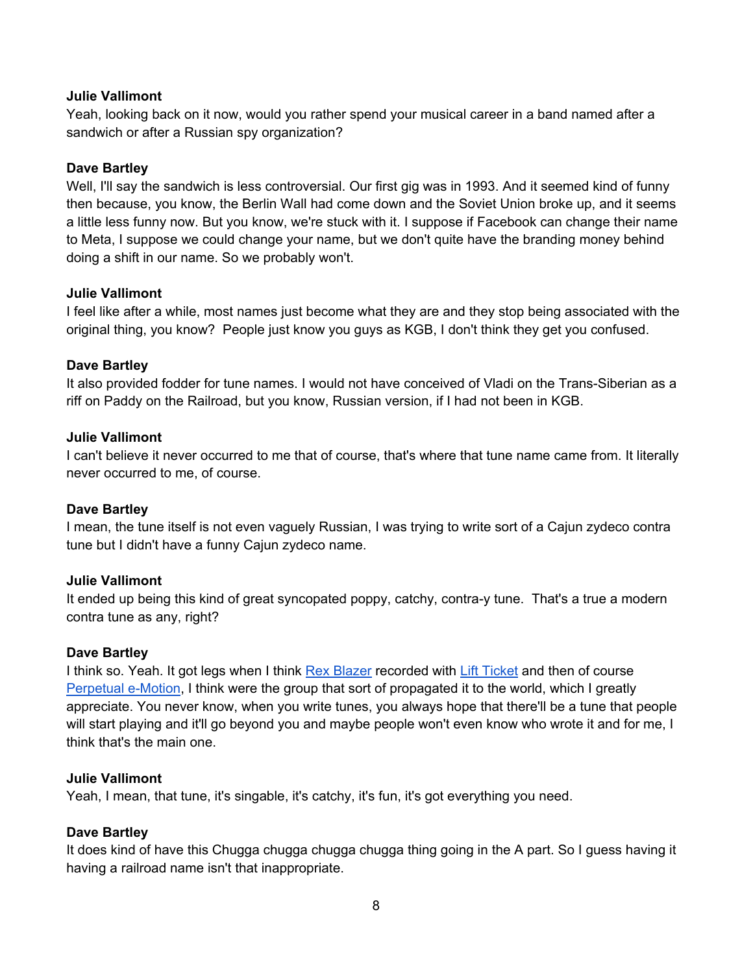Yeah, looking back on it now, would you rather spend your musical career in a band named after a sandwich or after a Russian spy organization?

#### **Dave Bartley**

Well, I'll say the sandwich is less controversial. Our first gig was in 1993. And it seemed kind of funny then because, you know, the Berlin Wall had come down and the Soviet Union broke up, and it seems a little less funny now. But you know, we're stuck with it. I suppose if Facebook can change their name to Meta, I suppose we could change your name, but we don't quite have the branding money behind doing a shift in our name. So we probably won't.

#### **Julie Vallimont**

I feel like after a while, most names just become what they are and they stop being associated with the original thing, you know? People just know you guys as KGB, I don't think they get you confused.

#### **Dave Bartley**

It also provided fodder for tune names. I would not have conceived of Vladi on the Trans-Siberian as a riff on Paddy on the Railroad, but you know, Russian version, if I had not been in KGB.

#### **Julie Vallimont**

I can't believe it never occurred to me that of course, that's where that tune name came from. It literally never occurred to me, of course.

#### **Dave Bartley**

I mean, the tune itself is not even vaguely Russian, I was trying to write sort of a Cajun zydeco contra tune but I didn't have a funny Cajun zydeco name.

#### **Julie Vallimont**

It ended up being this kind of great syncopated poppy, catchy, contra-y tune. That's a true a modern contra tune as any, right?

#### **Dave Bartley**

I think so. Yeah. It got legs when I think Rex Blazer recorded with Lift Ticket and then of course Perpetual e-Motion, I think were the group that sort of propagated it to the world, which I greatly appreciate. You never know, when you write tunes, you always hope that there'll be a tune that people will start playing and it'll go beyond you and maybe people won't even know who wrote it and for me, I think that's the main one.

#### **Julie Vallimont**

Yeah, I mean, that tune, it's singable, it's catchy, it's fun, it's got everything you need.

# **Dave Bartley**

It does kind of have this Chugga chugga chugga chugga thing going in the A part. So I guess having it having a railroad name isn't that inappropriate.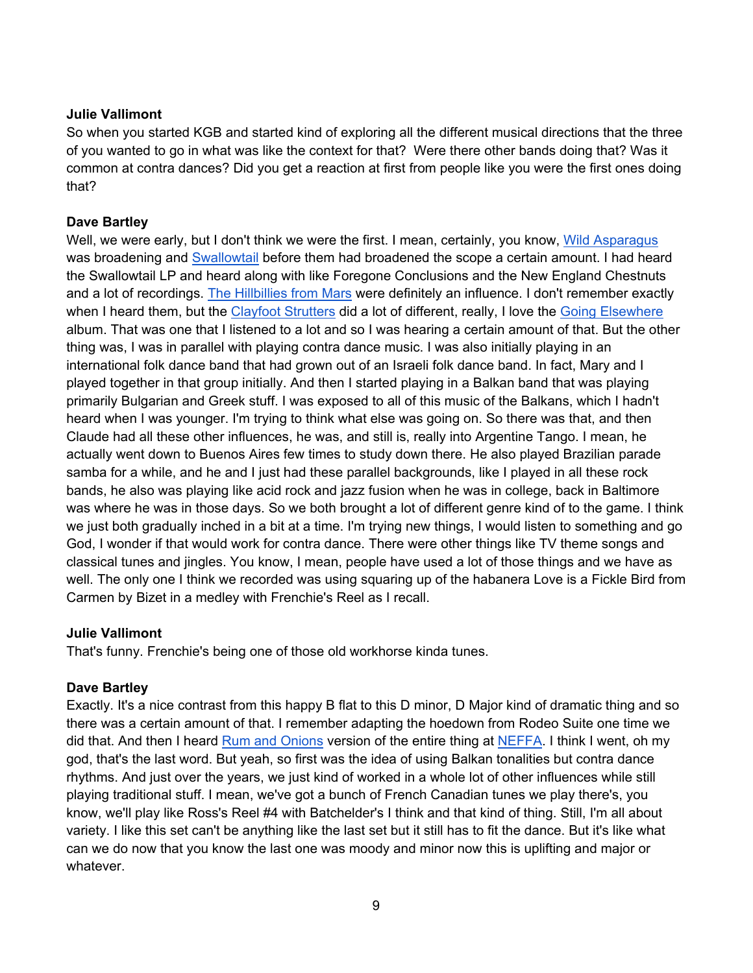So when you started KGB and started kind of exploring all the different musical directions that the three of you wanted to go in what was like the context for that? Were there other bands doing that? Was it common at contra dances? Did you get a reaction at first from people like you were the first ones doing that?

# **Dave Bartley**

Well, we were early, but I don't think we were the first. I mean, certainly, you know, Wild Asparagus was broadening and Swallowtail before them had broadened the scope a certain amount. I had heard the Swallowtail LP and heard along with like Foregone Conclusions and the New England Chestnuts and a lot of recordings. The Hillbillies from Mars were definitely an influence. I don't remember exactly when I heard them, but the Clayfoot Strutters did a lot of different, really, I love the Going Elsewhere album. That was one that I listened to a lot and so I was hearing a certain amount of that. But the other thing was, I was in parallel with playing contra dance music. I was also initially playing in an international folk dance band that had grown out of an Israeli folk dance band. In fact, Mary and I played together in that group initially. And then I started playing in a Balkan band that was playing primarily Bulgarian and Greek stuff. I was exposed to all of this music of the Balkans, which I hadn't heard when I was younger. I'm trying to think what else was going on. So there was that, and then Claude had all these other influences, he was, and still is, really into Argentine Tango. I mean, he actually went down to Buenos Aires few times to study down there. He also played Brazilian parade samba for a while, and he and I just had these parallel backgrounds, like I played in all these rock bands, he also was playing like acid rock and jazz fusion when he was in college, back in Baltimore was where he was in those days. So we both brought a lot of different genre kind of to the game. I think we just both gradually inched in a bit at a time. I'm trying new things, I would listen to something and go God, I wonder if that would work for contra dance. There were other things like TV theme songs and classical tunes and jingles. You know, I mean, people have used a lot of those things and we have as well. The only one I think we recorded was using squaring up of the habanera Love is a Fickle Bird from Carmen by Bizet in a medley with Frenchie's Reel as I recall.

# **Julie Vallimont**

That's funny. Frenchie's being one of those old workhorse kinda tunes.

# **Dave Bartley**

Exactly. It's a nice contrast from this happy B flat to this D minor, D Major kind of dramatic thing and so there was a certain amount of that. I remember adapting the hoedown from Rodeo Suite one time we did that. And then I heard Rum and Onions version of the entire thing at NEFFA. I think I went, oh my god, that's the last word. But yeah, so first was the idea of using Balkan tonalities but contra dance rhythms. And just over the years, we just kind of worked in a whole lot of other influences while still playing traditional stuff. I mean, we've got a bunch of French Canadian tunes we play there's, you know, we'll play like Ross's Reel #4 with Batchelder's I think and that kind of thing. Still, I'm all about variety. I like this set can't be anything like the last set but it still has to fit the dance. But it's like what can we do now that you know the last one was moody and minor now this is uplifting and major or whatever.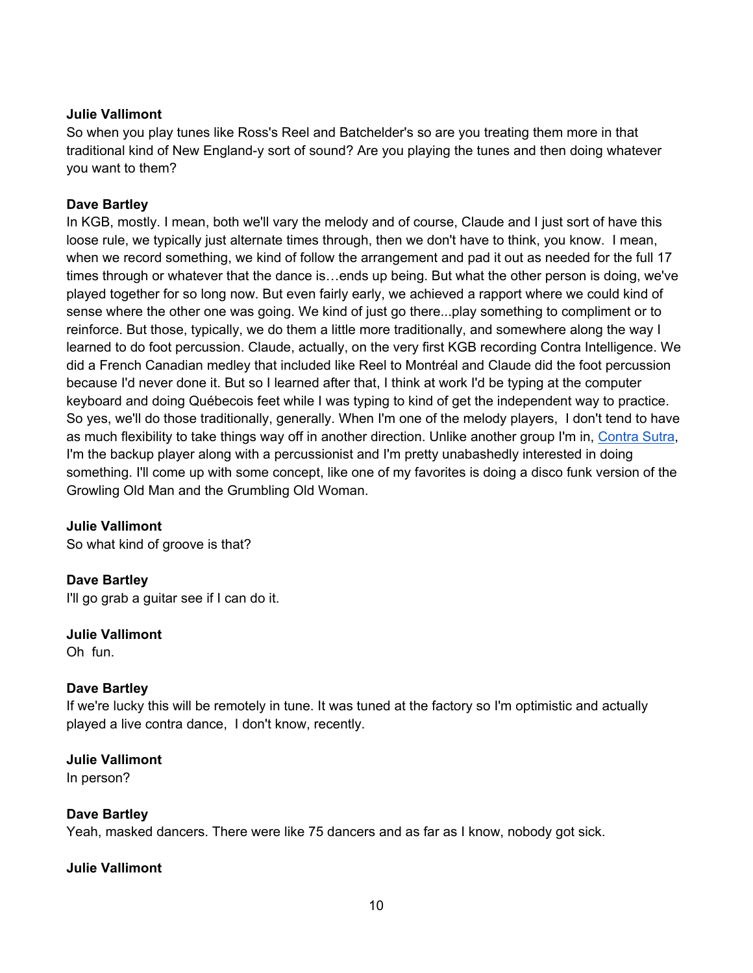So when you play tunes like Ross's Reel and Batchelder's so are you treating them more in that traditional kind of New England-y sort of sound? Are you playing the tunes and then doing whatever you want to them?

## **Dave Bartley**

In KGB, mostly. I mean, both we'll vary the melody and of course, Claude and I just sort of have this loose rule, we typically just alternate times through, then we don't have to think, you know. I mean, when we record something, we kind of follow the arrangement and pad it out as needed for the full 17 times through or whatever that the dance is…ends up being. But what the other person is doing, we've played together for so long now. But even fairly early, we achieved a rapport where we could kind of sense where the other one was going. We kind of just go there...play something to compliment or to reinforce. But those, typically, we do them a little more traditionally, and somewhere along the way I learned to do foot percussion. Claude, actually, on the very first KGB recording Contra Intelligence. We did a French Canadian medley that included like Reel to Montréal and Claude did the foot percussion because I'd never done it. But so I learned after that, I think at work I'd be typing at the computer keyboard and doing Québecois feet while I was typing to kind of get the independent way to practice. So yes, we'll do those traditionally, generally. When I'm one of the melody players, I don't tend to have as much flexibility to take things way off in another direction. Unlike another group I'm in, Contra Sutra, I'm the backup player along with a percussionist and I'm pretty unabashedly interested in doing something. I'll come up with some concept, like one of my favorites is doing a disco funk version of the Growling Old Man and the Grumbling Old Woman.

# **Julie Vallimont**

So what kind of groove is that?

# **Dave Bartley**

I'll go grab a guitar see if I can do it.

# **Julie Vallimont**

Oh fun.

# **Dave Bartley**

If we're lucky this will be remotely in tune. It was tuned at the factory so I'm optimistic and actually played a live contra dance, I don't know, recently.

#### **Julie Vallimont**  In person?

#### **Dave Bartley**

Yeah, masked dancers. There were like 75 dancers and as far as I know, nobody got sick.

#### **Julie Vallimont**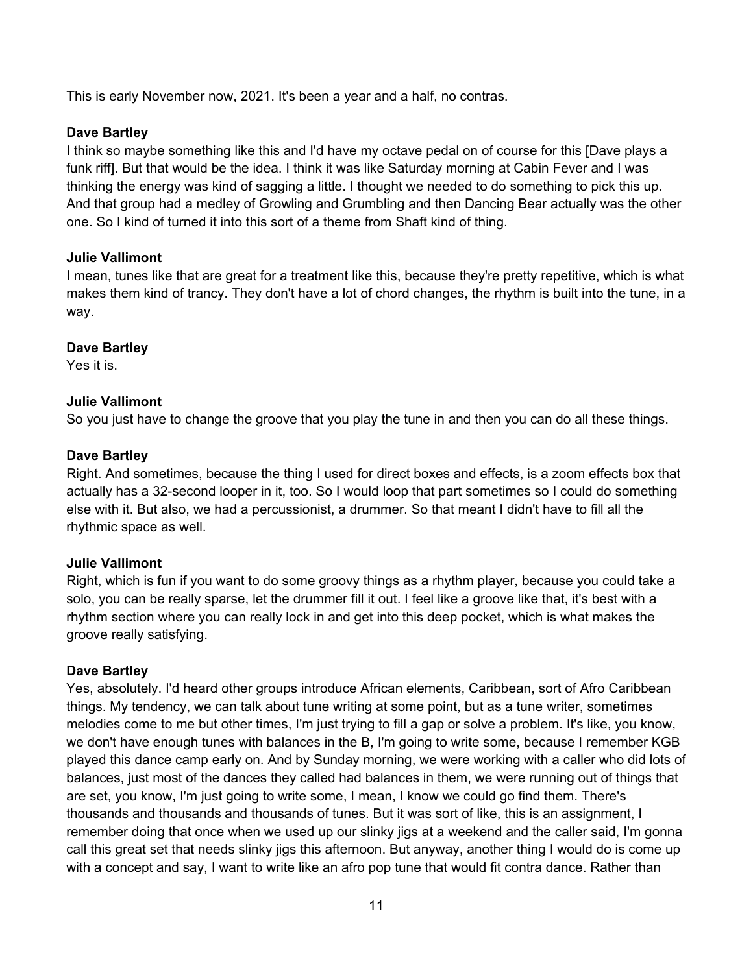This is early November now, 2021. It's been a year and a half, no contras.

# **Dave Bartley**

I think so maybe something like this and I'd have my octave pedal on of course for this [Dave plays a funk riff]. But that would be the idea. I think it was like Saturday morning at Cabin Fever and I was thinking the energy was kind of sagging a little. I thought we needed to do something to pick this up. And that group had a medley of Growling and Grumbling and then Dancing Bear actually was the other one. So I kind of turned it into this sort of a theme from Shaft kind of thing.

# **Julie Vallimont**

I mean, tunes like that are great for a treatment like this, because they're pretty repetitive, which is what makes them kind of trancy. They don't have a lot of chord changes, the rhythm is built into the tune, in a way.

# **Dave Bartley**

Yes it is.

# **Julie Vallimont**

So you just have to change the groove that you play the tune in and then you can do all these things.

# **Dave Bartley**

Right. And sometimes, because the thing I used for direct boxes and effects, is a zoom effects box that actually has a 32-second looper in it, too. So I would loop that part sometimes so I could do something else with it. But also, we had a percussionist, a drummer. So that meant I didn't have to fill all the rhythmic space as well.

# **Julie Vallimont**

Right, which is fun if you want to do some groovy things as a rhythm player, because you could take a solo, you can be really sparse, let the drummer fill it out. I feel like a groove like that, it's best with a rhythm section where you can really lock in and get into this deep pocket, which is what makes the groove really satisfying.

# **Dave Bartley**

Yes, absolutely. I'd heard other groups introduce African elements, Caribbean, sort of Afro Caribbean things. My tendency, we can talk about tune writing at some point, but as a tune writer, sometimes melodies come to me but other times, I'm just trying to fill a gap or solve a problem. It's like, you know, we don't have enough tunes with balances in the B, I'm going to write some, because I remember KGB played this dance camp early on. And by Sunday morning, we were working with a caller who did lots of balances, just most of the dances they called had balances in them, we were running out of things that are set, you know, I'm just going to write some, I mean, I know we could go find them. There's thousands and thousands and thousands of tunes. But it was sort of like, this is an assignment, I remember doing that once when we used up our slinky jigs at a weekend and the caller said, I'm gonna call this great set that needs slinky jigs this afternoon. But anyway, another thing I would do is come up with a concept and say, I want to write like an afro pop tune that would fit contra dance. Rather than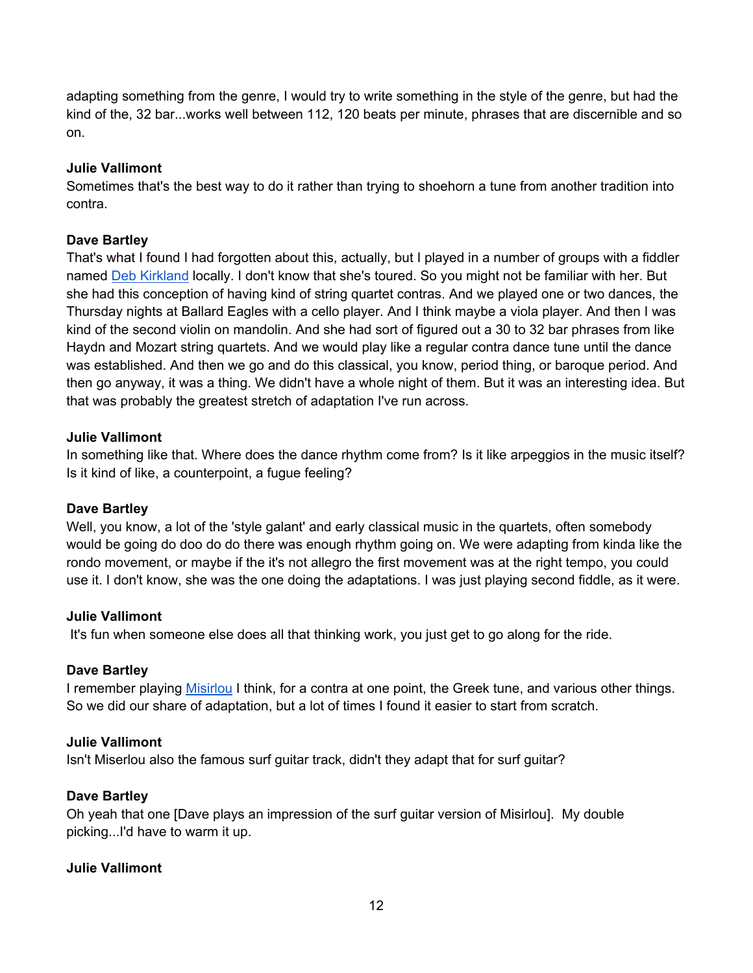adapting something from the genre, I would try to write something in the style of the genre, but had the kind of the, 32 bar...works well between 112, 120 beats per minute, phrases that are discernible and so on.

# **Julie Vallimont**

Sometimes that's the best way to do it rather than trying to shoehorn a tune from another tradition into contra.

# **Dave Bartley**

That's what I found I had forgotten about this, actually, but I played in a number of groups with a fiddler named Deb Kirkland locally. I don't know that she's toured. So you might not be familiar with her. But she had this conception of having kind of string quartet contras. And we played one or two dances, the Thursday nights at Ballard Eagles with a cello player. And I think maybe a viola player. And then I was kind of the second violin on mandolin. And she had sort of figured out a 30 to 32 bar phrases from like Haydn and Mozart string quartets. And we would play like a regular contra dance tune until the dance was established. And then we go and do this classical, you know, period thing, or baroque period. And then go anyway, it was a thing. We didn't have a whole night of them. But it was an interesting idea. But that was probably the greatest stretch of adaptation I've run across.

# **Julie Vallimont**

In something like that. Where does the dance rhythm come from? Is it like arpeggios in the music itself? Is it kind of like, a counterpoint, a fugue feeling?

# **Dave Bartley**

Well, you know, a lot of the 'style galant' and early classical music in the quartets, often somebody would be going do doo do do there was enough rhythm going on. We were adapting from kinda like the rondo movement, or maybe if the it's not allegro the first movement was at the right tempo, you could use it. I don't know, she was the one doing the adaptations. I was just playing second fiddle, as it were.

# **Julie Vallimont**

It's fun when someone else does all that thinking work, you just get to go along for the ride.

# **Dave Bartley**

I remember playing Misirlou I think, for a contra at one point, the Greek tune, and various other things. So we did our share of adaptation, but a lot of times I found it easier to start from scratch.

# **Julie Vallimont**

Isn't Miserlou also the famous surf guitar track, didn't they adapt that for surf guitar?

# **Dave Bartley**

Oh yeah that one [Dave plays an impression of the surf guitar version of Misirlou]. My double picking...I'd have to warm it up.

# **Julie Vallimont**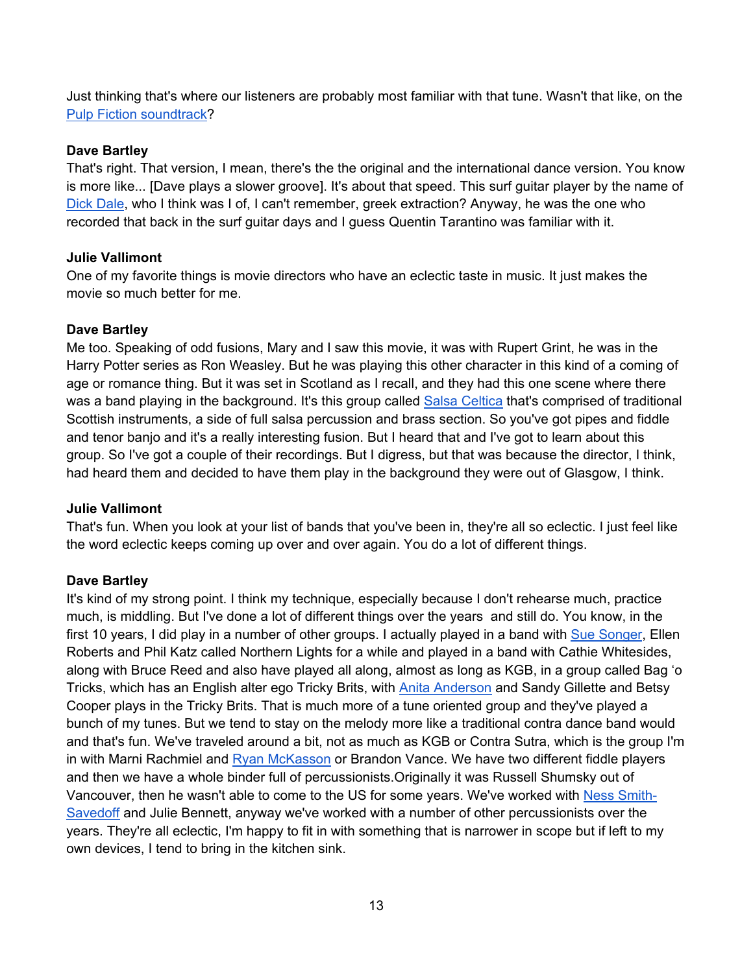Just thinking that's where our listeners are probably most familiar with that tune. Wasn't that like, on the Pulp Fiction soundtrack?

# **Dave Bartley**

That's right. That version, I mean, there's the the original and the international dance version. You know is more like... [Dave plays a slower groove]. It's about that speed. This surf guitar player by the name of Dick Dale, who I think was I of, I can't remember, greek extraction? Anyway, he was the one who recorded that back in the surf guitar days and I guess Quentin Tarantino was familiar with it.

# **Julie Vallimont**

One of my favorite things is movie directors who have an eclectic taste in music. It just makes the movie so much better for me.

# **Dave Bartley**

Me too. Speaking of odd fusions, Mary and I saw this movie, it was with Rupert Grint, he was in the Harry Potter series as Ron Weasley. But he was playing this other character in this kind of a coming of age or romance thing. But it was set in Scotland as I recall, and they had this one scene where there was a band playing in the background. It's this group called Salsa Celtica that's comprised of traditional Scottish instruments, a side of full salsa percussion and brass section. So you've got pipes and fiddle and tenor banjo and it's a really interesting fusion. But I heard that and I've got to learn about this group. So I've got a couple of their recordings. But I digress, but that was because the director, I think, had heard them and decided to have them play in the background they were out of Glasgow, I think.

# **Julie Vallimont**

That's fun. When you look at your list of bands that you've been in, they're all so eclectic. I just feel like the word eclectic keeps coming up over and over again. You do a lot of different things.

# **Dave Bartley**

It's kind of my strong point. I think my technique, especially because I don't rehearse much, practice much, is middling. But I've done a lot of different things over the years and still do. You know, in the first 10 years, I did play in a number of other groups. I actually played in a band with Sue Songer, Ellen Roberts and Phil Katz called Northern Lights for a while and played in a band with Cathie Whitesides, along with Bruce Reed and also have played all along, almost as long as KGB, in a group called Bag 'o Tricks, which has an English alter ego Tricky Brits, with Anita Anderson and Sandy Gillette and Betsy Cooper plays in the Tricky Brits. That is much more of a tune oriented group and they've played a bunch of my tunes. But we tend to stay on the melody more like a traditional contra dance band would and that's fun. We've traveled around a bit, not as much as KGB or Contra Sutra, which is the group I'm in with Marni Rachmiel and Ryan McKasson or Brandon Vance. We have two different fiddle players and then we have a whole binder full of percussionists.Originally it was Russell Shumsky out of Vancouver, then he wasn't able to come to the US for some years. We've worked with Ness Smith-Savedoff and Julie Bennett, anyway we've worked with a number of other percussionists over the years. They're all eclectic, I'm happy to fit in with something that is narrower in scope but if left to my own devices, I tend to bring in the kitchen sink.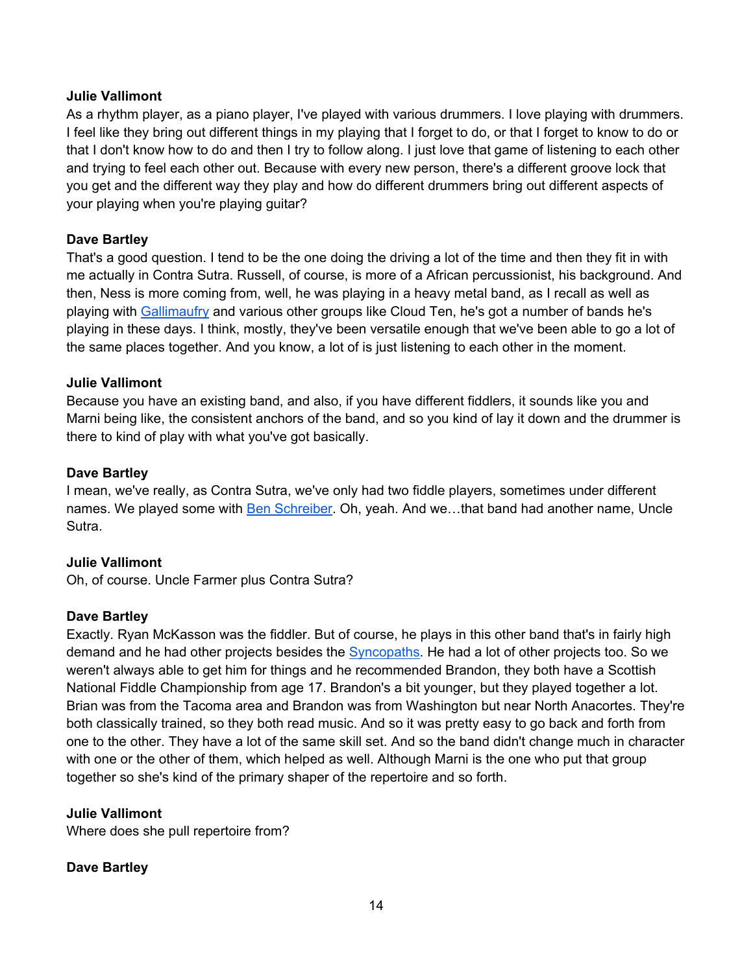As a rhythm player, as a piano player, I've played with various drummers. I love playing with drummers. I feel like they bring out different things in my playing that I forget to do, or that I forget to know to do or that I don't know how to do and then I try to follow along. I just love that game of listening to each other and trying to feel each other out. Because with every new person, there's a different groove lock that you get and the different way they play and how do different drummers bring out different aspects of your playing when you're playing guitar?

# **Dave Bartley**

That's a good question. I tend to be the one doing the driving a lot of the time and then they fit in with me actually in Contra Sutra. Russell, of course, is more of a African percussionist, his background. And then, Ness is more coming from, well, he was playing in a heavy metal band, as I recall as well as playing with Gallimaufry and various other groups like Cloud Ten, he's got a number of bands he's playing in these days. I think, mostly, they've been versatile enough that we've been able to go a lot of the same places together. And you know, a lot of is just listening to each other in the moment.

# **Julie Vallimont**

Because you have an existing band, and also, if you have different fiddlers, it sounds like you and Marni being like, the consistent anchors of the band, and so you kind of lay it down and the drummer is there to kind of play with what you've got basically.

# **Dave Bartley**

I mean, we've really, as Contra Sutra, we've only had two fiddle players, sometimes under different names. We played some with Ben Schreiber. Oh, yeah. And we…that band had another name, Uncle Sutra.

# **Julie Vallimont**

Oh, of course. Uncle Farmer plus Contra Sutra?

# **Dave Bartley**

Exactly. Ryan McKasson was the fiddler. But of course, he plays in this other band that's in fairly high demand and he had other projects besides the Syncopaths. He had a lot of other projects too. So we weren't always able to get him for things and he recommended Brandon, they both have a Scottish National Fiddle Championship from age 17. Brandon's a bit younger, but they played together a lot. Brian was from the Tacoma area and Brandon was from Washington but near North Anacortes. They're both classically trained, so they both read music. And so it was pretty easy to go back and forth from one to the other. They have a lot of the same skill set. And so the band didn't change much in character with one or the other of them, which helped as well. Although Marni is the one who put that group together so she's kind of the primary shaper of the repertoire and so forth.

# **Julie Vallimont**

Where does she pull repertoire from?

# **Dave Bartley**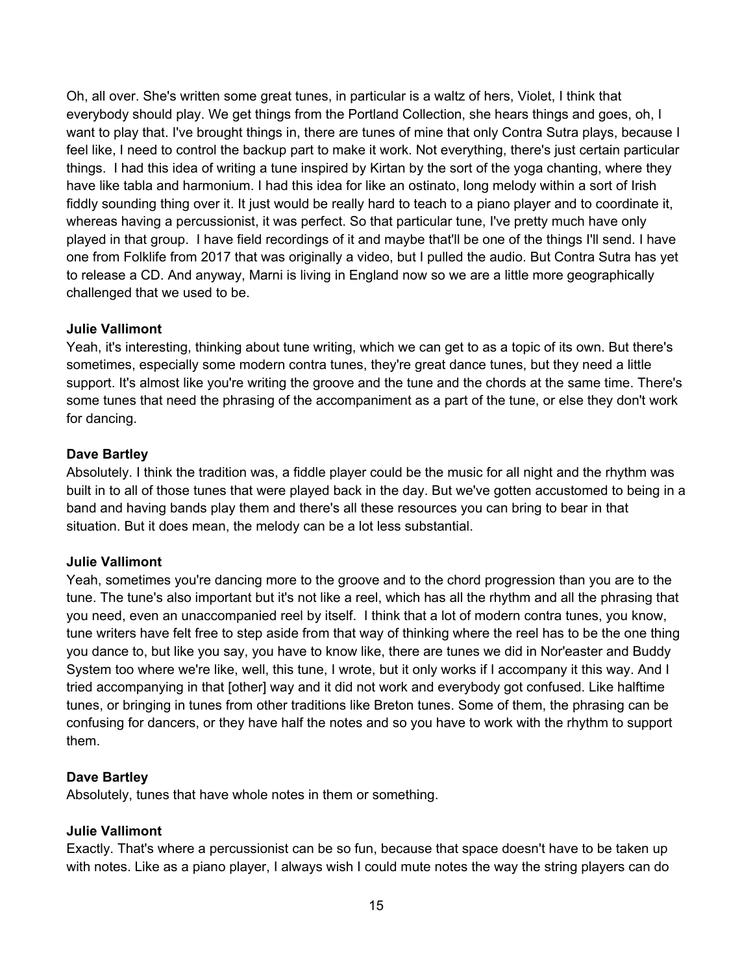Oh, all over. She's written some great tunes, in particular is a waltz of hers, Violet, I think that everybody should play. We get things from the Portland Collection, she hears things and goes, oh, I want to play that. I've brought things in, there are tunes of mine that only Contra Sutra plays, because I feel like, I need to control the backup part to make it work. Not everything, there's just certain particular things. I had this idea of writing a tune inspired by Kirtan by the sort of the yoga chanting, where they have like tabla and harmonium. I had this idea for like an ostinato, long melody within a sort of Irish fiddly sounding thing over it. It just would be really hard to teach to a piano player and to coordinate it, whereas having a percussionist, it was perfect. So that particular tune, I've pretty much have only played in that group. I have field recordings of it and maybe that'll be one of the things I'll send. I have one from Folklife from 2017 that was originally a video, but I pulled the audio. But Contra Sutra has yet to release a CD. And anyway, Marni is living in England now so we are a little more geographically challenged that we used to be.

# **Julie Vallimont**

Yeah, it's interesting, thinking about tune writing, which we can get to as a topic of its own. But there's sometimes, especially some modern contra tunes, they're great dance tunes, but they need a little support. It's almost like you're writing the groove and the tune and the chords at the same time. There's some tunes that need the phrasing of the accompaniment as a part of the tune, or else they don't work for dancing.

#### **Dave Bartley**

Absolutely. I think the tradition was, a fiddle player could be the music for all night and the rhythm was built in to all of those tunes that were played back in the day. But we've gotten accustomed to being in a band and having bands play them and there's all these resources you can bring to bear in that situation. But it does mean, the melody can be a lot less substantial.

#### **Julie Vallimont**

Yeah, sometimes you're dancing more to the groove and to the chord progression than you are to the tune. The tune's also important but it's not like a reel, which has all the rhythm and all the phrasing that you need, even an unaccompanied reel by itself. I think that a lot of modern contra tunes, you know, tune writers have felt free to step aside from that way of thinking where the reel has to be the one thing you dance to, but like you say, you have to know like, there are tunes we did in Nor'easter and Buddy System too where we're like, well, this tune, I wrote, but it only works if I accompany it this way. And I tried accompanying in that [other] way and it did not work and everybody got confused. Like halftime tunes, or bringing in tunes from other traditions like Breton tunes. Some of them, the phrasing can be confusing for dancers, or they have half the notes and so you have to work with the rhythm to support them.

#### **Dave Bartley**

Absolutely, tunes that have whole notes in them or something.

# **Julie Vallimont**

Exactly. That's where a percussionist can be so fun, because that space doesn't have to be taken up with notes. Like as a piano player, I always wish I could mute notes the way the string players can do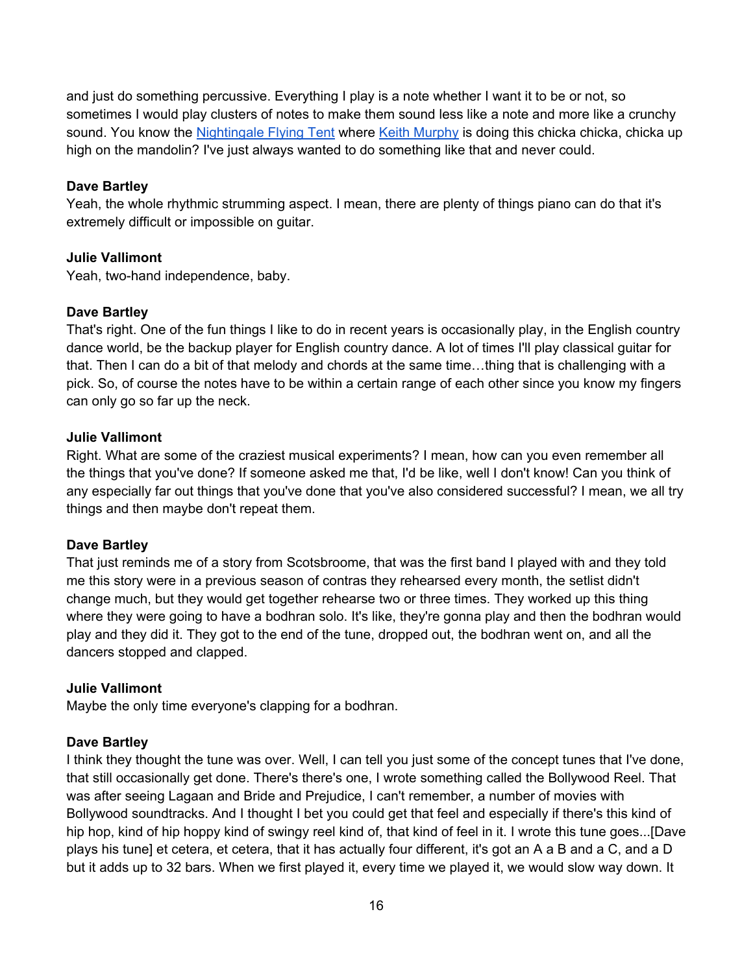and just do something percussive. Everything I play is a note whether I want it to be or not, so sometimes I would play clusters of notes to make them sound less like a note and more like a crunchy sound. You know the Nightingale Flying Tent where Keith Murphy is doing this chicka chicka, chicka up high on the mandolin? I've just always wanted to do something like that and never could.

# **Dave Bartley**

Yeah, the whole rhythmic strumming aspect. I mean, there are plenty of things piano can do that it's extremely difficult or impossible on guitar.

# **Julie Vallimont**

Yeah, two-hand independence, baby.

# **Dave Bartley**

That's right. One of the fun things I like to do in recent years is occasionally play, in the English country dance world, be the backup player for English country dance. A lot of times I'll play classical guitar for that. Then I can do a bit of that melody and chords at the same time…thing that is challenging with a pick. So, of course the notes have to be within a certain range of each other since you know my fingers can only go so far up the neck.

# **Julie Vallimont**

Right. What are some of the craziest musical experiments? I mean, how can you even remember all the things that you've done? If someone asked me that, I'd be like, well I don't know! Can you think of any especially far out things that you've done that you've also considered successful? I mean, we all try things and then maybe don't repeat them.

# **Dave Bartley**

That just reminds me of a story from Scotsbroome, that was the first band I played with and they told me this story were in a previous season of contras they rehearsed every month, the setlist didn't change much, but they would get together rehearse two or three times. They worked up this thing where they were going to have a bodhran solo. It's like, they're gonna play and then the bodhran would play and they did it. They got to the end of the tune, dropped out, the bodhran went on, and all the dancers stopped and clapped.

# **Julie Vallimont**

Maybe the only time everyone's clapping for a bodhran.

# **Dave Bartley**

I think they thought the tune was over. Well, I can tell you just some of the concept tunes that I've done, that still occasionally get done. There's there's one, I wrote something called the Bollywood Reel. That was after seeing Lagaan and Bride and Prejudice, I can't remember, a number of movies with Bollywood soundtracks. And I thought I bet you could get that feel and especially if there's this kind of hip hop, kind of hip hoppy kind of swingy reel kind of, that kind of feel in it. I wrote this tune goes...[Dave plays his tune] et cetera, et cetera, that it has actually four different, it's got an A a B and a C, and a D but it adds up to 32 bars. When we first played it, every time we played it, we would slow way down. It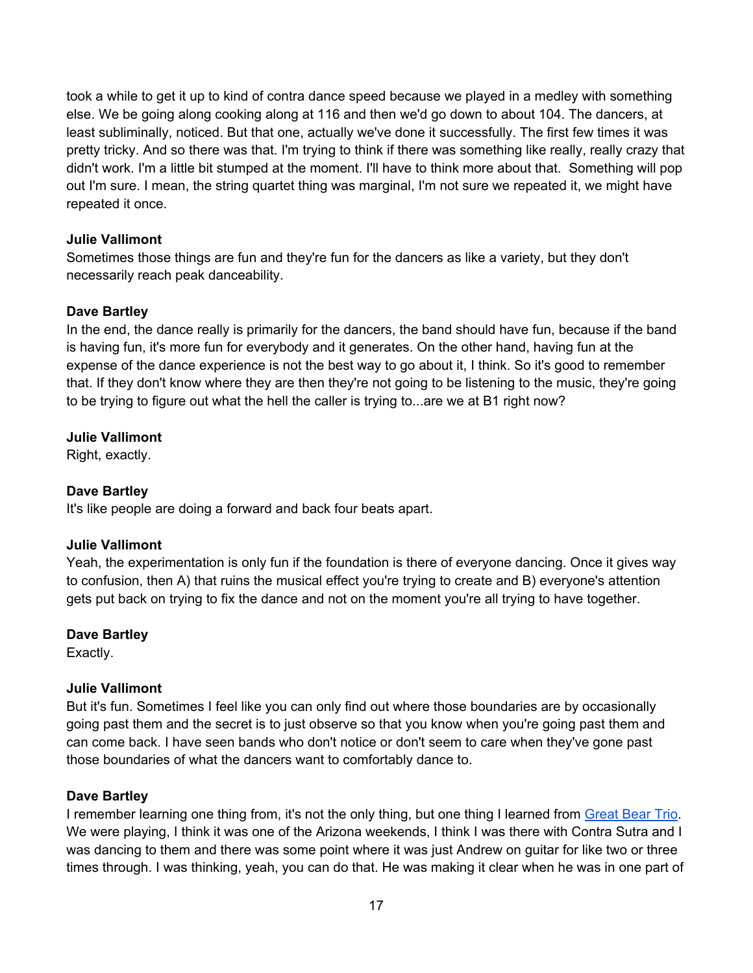took a while to get it up to kind of contra dance speed because we played in a medley with something else. We be going along cooking along at 116 and then we'd go down to about 104. The dancers, at least subliminally, noticed. But that one, actually we've done it successfully. The first few times it was pretty tricky. And so there was that. I'm trying to think if there was something like really, really crazy that didn't work. I'm a little bit stumped at the moment. I'll have to think more about that. Something will pop out I'm sure. I mean, the string quartet thing was marginal, I'm not sure we repeated it, we might have repeated it once.

# **Julie Vallimont**

Sometimes those things are fun and they're fun for the dancers as like a variety, but they don't necessarily reach peak danceability.

# **Dave Bartley**

In the end, the dance really is primarily for the dancers, the band should have fun, because if the band is having fun, it's more fun for everybody and it generates. On the other hand, having fun at the expense of the dance experience is not the best way to go about it, I think. So it's good to remember that. If they don't know where they are then they're not going to be listening to the music, they're going to be trying to figure out what the hell the caller is trying to...are we at B1 right now?

# **Julie Vallimont**

Right, exactly.

# **Dave Bartley**

It's like people are doing a forward and back four beats apart.

# **Julie Vallimont**

Yeah, the experimentation is only fun if the foundation is there of everyone dancing. Once it gives way to confusion, then A) that ruins the musical effect you're trying to create and B) everyone's attention gets put back on trying to fix the dance and not on the moment you're all trying to have together.

# **Dave Bartley**

Exactly.

# **Julie Vallimont**

But it's fun. Sometimes I feel like you can only find out where those boundaries are by occasionally going past them and the secret is to just observe so that you know when you're going past them and can come back. I have seen bands who don't notice or don't seem to care when they've gone past those boundaries of what the dancers want to comfortably dance to.

# **Dave Bartley**

I remember learning one thing from, it's not the only thing, but one thing I learned from Great Bear Trio. We were playing, I think it was one of the Arizona weekends, I think I was there with Contra Sutra and I was dancing to them and there was some point where it was just Andrew on guitar for like two or three times through. I was thinking, yeah, you can do that. He was making it clear when he was in one part of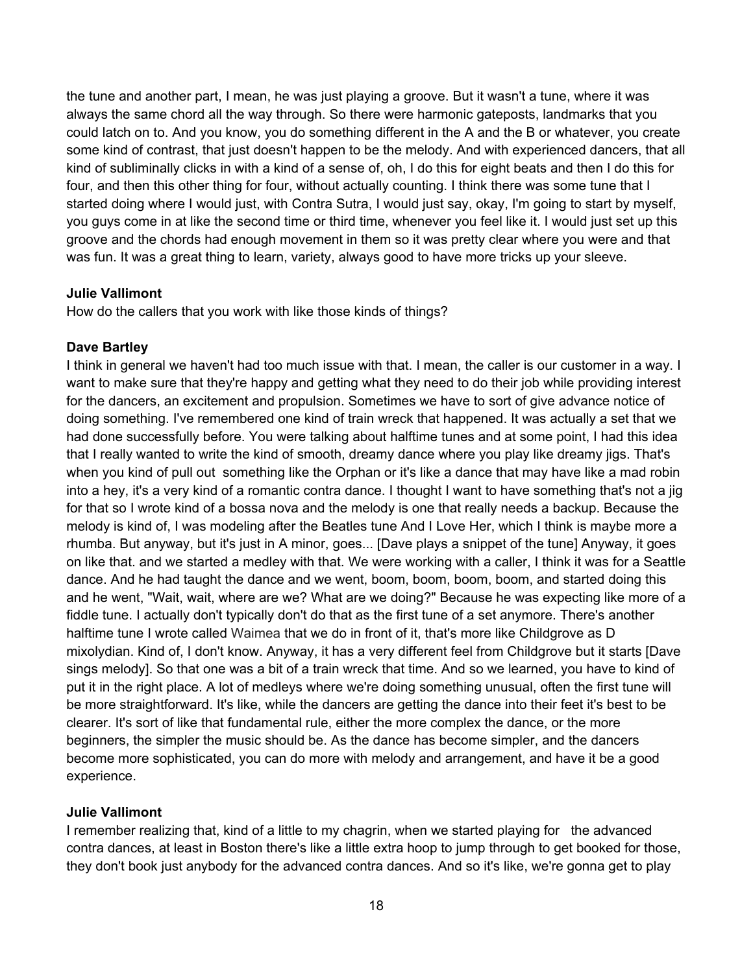the tune and another part, I mean, he was just playing a groove. But it wasn't a tune, where it was always the same chord all the way through. So there were harmonic gateposts, landmarks that you could latch on to. And you know, you do something different in the A and the B or whatever, you create some kind of contrast, that just doesn't happen to be the melody. And with experienced dancers, that all kind of subliminally clicks in with a kind of a sense of, oh, I do this for eight beats and then I do this for four, and then this other thing for four, without actually counting. I think there was some tune that I started doing where I would just, with Contra Sutra, I would just say, okay, I'm going to start by myself, you guys come in at like the second time or third time, whenever you feel like it. I would just set up this groove and the chords had enough movement in them so it was pretty clear where you were and that was fun. It was a great thing to learn, variety, always good to have more tricks up your sleeve.

#### **Julie Vallimont**

How do the callers that you work with like those kinds of things?

#### **Dave Bartley**

I think in general we haven't had too much issue with that. I mean, the caller is our customer in a way. I want to make sure that they're happy and getting what they need to do their job while providing interest for the dancers, an excitement and propulsion. Sometimes we have to sort of give advance notice of doing something. I've remembered one kind of train wreck that happened. It was actually a set that we had done successfully before. You were talking about halftime tunes and at some point, I had this idea that I really wanted to write the kind of smooth, dreamy dance where you play like dreamy jigs. That's when you kind of pull out something like the Orphan or it's like a dance that may have like a mad robin into a hey, it's a very kind of a romantic contra dance. I thought I want to have something that's not a jig for that so I wrote kind of a bossa nova and the melody is one that really needs a backup. Because the melody is kind of, I was modeling after the Beatles tune And I Love Her, which I think is maybe more a rhumba. But anyway, but it's just in A minor, goes... [Dave plays a snippet of the tune] Anyway, it goes on like that. and we started a medley with that. We were working with a caller, I think it was for a Seattle dance. And he had taught the dance and we went, boom, boom, boom, boom, and started doing this and he went, "Wait, wait, where are we? What are we doing?" Because he was expecting like more of a fiddle tune. I actually don't typically don't do that as the first tune of a set anymore. There's another halftime tune I wrote called Waimea that we do in front of it, that's more like Childgrove as D mixolydian. Kind of, I don't know. Anyway, it has a very different feel from Childgrove but it starts [Dave sings melody]. So that one was a bit of a train wreck that time. And so we learned, you have to kind of put it in the right place. A lot of medleys where we're doing something unusual, often the first tune will be more straightforward. It's like, while the dancers are getting the dance into their feet it's best to be clearer. It's sort of like that fundamental rule, either the more complex the dance, or the more beginners, the simpler the music should be. As the dance has become simpler, and the dancers become more sophisticated, you can do more with melody and arrangement, and have it be a good experience.

# **Julie Vallimont**

I remember realizing that, kind of a little to my chagrin, when we started playing for the advanced contra dances, at least in Boston there's like a little extra hoop to jump through to get booked for those, they don't book just anybody for the advanced contra dances. And so it's like, we're gonna get to play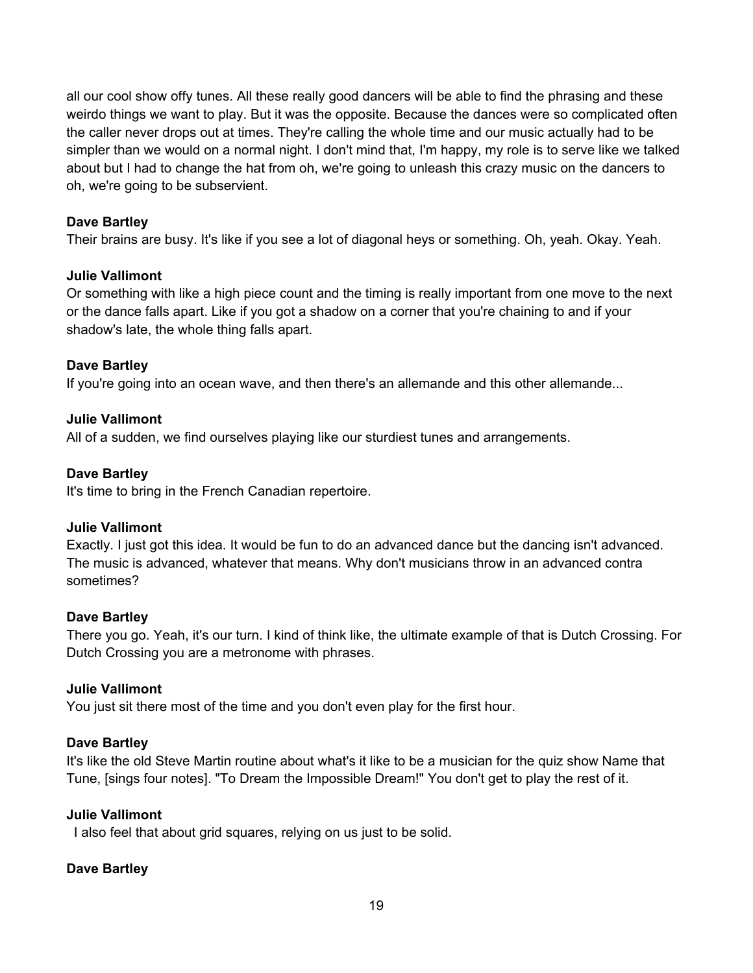all our cool show offy tunes. All these really good dancers will be able to find the phrasing and these weirdo things we want to play. But it was the opposite. Because the dances were so complicated often the caller never drops out at times. They're calling the whole time and our music actually had to be simpler than we would on a normal night. I don't mind that, I'm happy, my role is to serve like we talked about but I had to change the hat from oh, we're going to unleash this crazy music on the dancers to oh, we're going to be subservient.

# **Dave Bartley**

Their brains are busy. It's like if you see a lot of diagonal heys or something. Oh, yeah. Okay. Yeah.

# **Julie Vallimont**

Or something with like a high piece count and the timing is really important from one move to the next or the dance falls apart. Like if you got a shadow on a corner that you're chaining to and if your shadow's late, the whole thing falls apart.

# **Dave Bartley**

If you're going into an ocean wave, and then there's an allemande and this other allemande...

# **Julie Vallimont**

All of a sudden, we find ourselves playing like our sturdiest tunes and arrangements.

# **Dave Bartley**

It's time to bring in the French Canadian repertoire.

# **Julie Vallimont**

Exactly. I just got this idea. It would be fun to do an advanced dance but the dancing isn't advanced. The music is advanced, whatever that means. Why don't musicians throw in an advanced contra sometimes?

# **Dave Bartley**

There you go. Yeah, it's our turn. I kind of think like, the ultimate example of that is Dutch Crossing. For Dutch Crossing you are a metronome with phrases.

# **Julie Vallimont**

You just sit there most of the time and you don't even play for the first hour.

# **Dave Bartley**

It's like the old Steve Martin routine about what's it like to be a musician for the quiz show Name that Tune, [sings four notes]. "To Dream the Impossible Dream!" You don't get to play the rest of it.

# **Julie Vallimont**

I also feel that about grid squares, relying on us just to be solid.

# **Dave Bartley**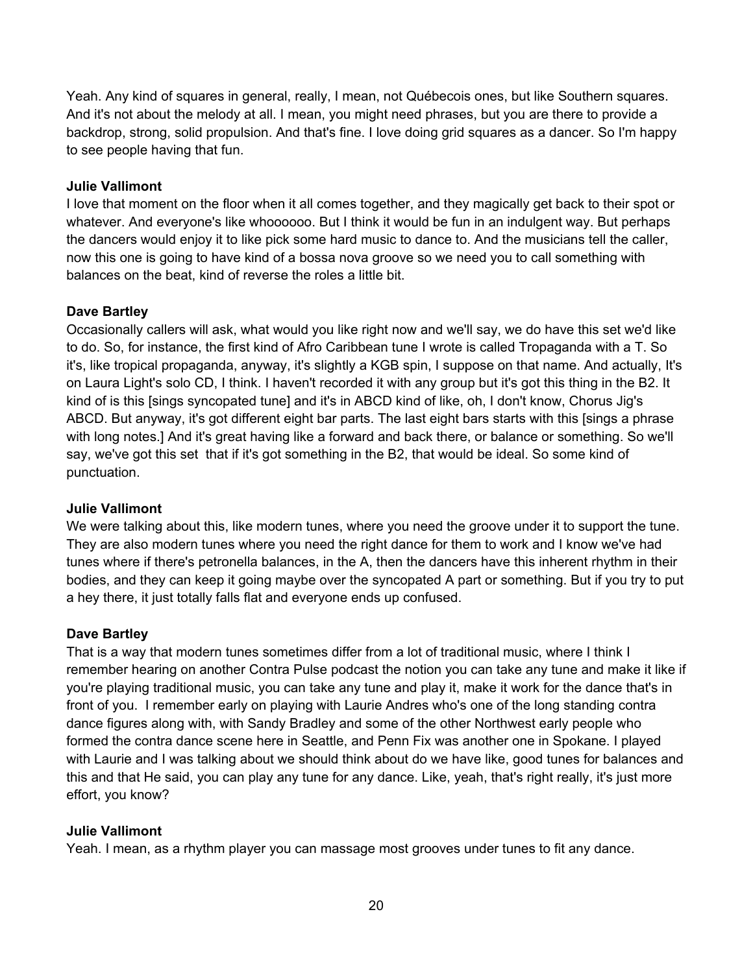Yeah. Any kind of squares in general, really, I mean, not Québecois ones, but like Southern squares. And it's not about the melody at all. I mean, you might need phrases, but you are there to provide a backdrop, strong, solid propulsion. And that's fine. I love doing grid squares as a dancer. So I'm happy to see people having that fun.

# **Julie Vallimont**

I love that moment on the floor when it all comes together, and they magically get back to their spot or whatever. And everyone's like whoooooo. But I think it would be fun in an indulgent way. But perhaps the dancers would enjoy it to like pick some hard music to dance to. And the musicians tell the caller, now this one is going to have kind of a bossa nova groove so we need you to call something with balances on the beat, kind of reverse the roles a little bit.

# **Dave Bartley**

Occasionally callers will ask, what would you like right now and we'll say, we do have this set we'd like to do. So, for instance, the first kind of Afro Caribbean tune I wrote is called Tropaganda with a T. So it's, like tropical propaganda, anyway, it's slightly a KGB spin, I suppose on that name. And actually, It's on Laura Light's solo CD, I think. I haven't recorded it with any group but it's got this thing in the B2. It kind of is this [sings syncopated tune] and it's in ABCD kind of like, oh, I don't know, Chorus Jig's ABCD. But anyway, it's got different eight bar parts. The last eight bars starts with this [sings a phrase with long notes.] And it's great having like a forward and back there, or balance or something. So we'll say, we've got this set that if it's got something in the B2, that would be ideal. So some kind of punctuation.

# **Julie Vallimont**

We were talking about this, like modern tunes, where you need the groove under it to support the tune. They are also modern tunes where you need the right dance for them to work and I know we've had tunes where if there's petronella balances, in the A, then the dancers have this inherent rhythm in their bodies, and they can keep it going maybe over the syncopated A part or something. But if you try to put a hey there, it just totally falls flat and everyone ends up confused.

# **Dave Bartley**

That is a way that modern tunes sometimes differ from a lot of traditional music, where I think I remember hearing on another Contra Pulse podcast the notion you can take any tune and make it like if you're playing traditional music, you can take any tune and play it, make it work for the dance that's in front of you. I remember early on playing with Laurie Andres who's one of the long standing contra dance figures along with, with Sandy Bradley and some of the other Northwest early people who formed the contra dance scene here in Seattle, and Penn Fix was another one in Spokane. I played with Laurie and I was talking about we should think about do we have like, good tunes for balances and this and that He said, you can play any tune for any dance. Like, yeah, that's right really, it's just more effort, you know?

# **Julie Vallimont**

Yeah. I mean, as a rhythm player you can massage most grooves under tunes to fit any dance.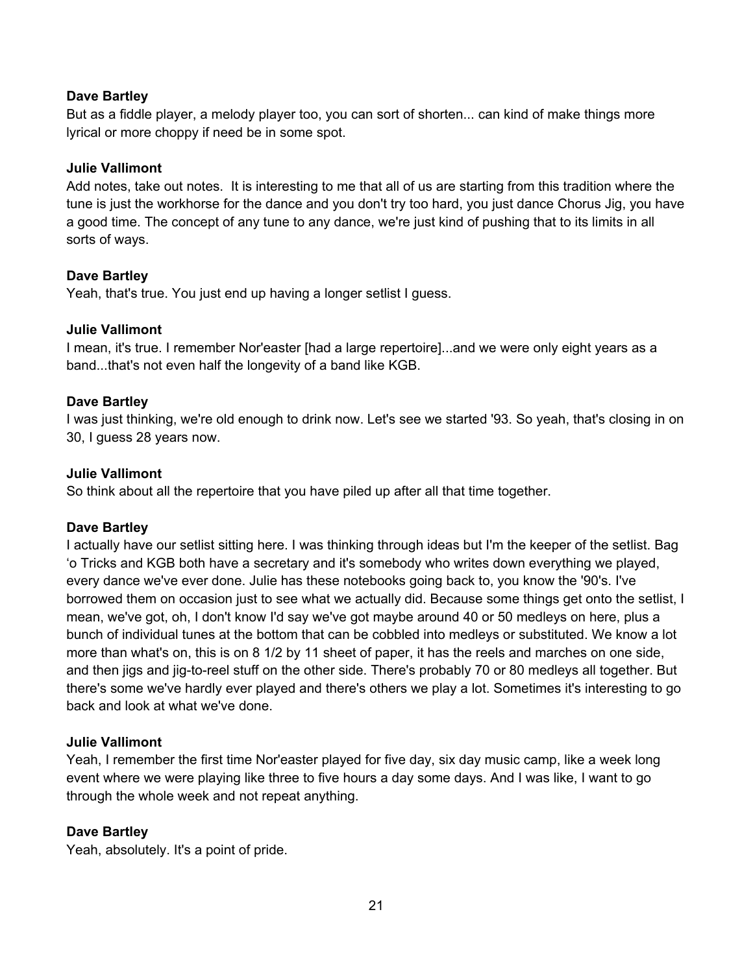# **Dave Bartley**

But as a fiddle player, a melody player too, you can sort of shorten... can kind of make things more lyrical or more choppy if need be in some spot.

# **Julie Vallimont**

Add notes, take out notes. It is interesting to me that all of us are starting from this tradition where the tune is just the workhorse for the dance and you don't try too hard, you just dance Chorus Jig, you have a good time. The concept of any tune to any dance, we're just kind of pushing that to its limits in all sorts of ways.

# **Dave Bartley**

Yeah, that's true. You just end up having a longer setlist I guess.

# **Julie Vallimont**

I mean, it's true. I remember Nor'easter [had a large repertoire]...and we were only eight years as a band...that's not even half the longevity of a band like KGB.

## **Dave Bartley**

I was just thinking, we're old enough to drink now. Let's see we started '93. So yeah, that's closing in on 30, I guess 28 years now.

#### **Julie Vallimont**

So think about all the repertoire that you have piled up after all that time together.

#### **Dave Bartley**

I actually have our setlist sitting here. I was thinking through ideas but I'm the keeper of the setlist. Bag 'o Tricks and KGB both have a secretary and it's somebody who writes down everything we played, every dance we've ever done. Julie has these notebooks going back to, you know the '90's. I've borrowed them on occasion just to see what we actually did. Because some things get onto the setlist, I mean, we've got, oh, I don't know I'd say we've got maybe around 40 or 50 medleys on here, plus a bunch of individual tunes at the bottom that can be cobbled into medleys or substituted. We know a lot more than what's on, this is on 8 1/2 by 11 sheet of paper, it has the reels and marches on one side, and then jigs and jig-to-reel stuff on the other side. There's probably 70 or 80 medleys all together. But there's some we've hardly ever played and there's others we play a lot. Sometimes it's interesting to go back and look at what we've done.

#### **Julie Vallimont**

Yeah, I remember the first time Nor'easter played for five day, six day music camp, like a week long event where we were playing like three to five hours a day some days. And I was like, I want to go through the whole week and not repeat anything.

# **Dave Bartley**

Yeah, absolutely. It's a point of pride.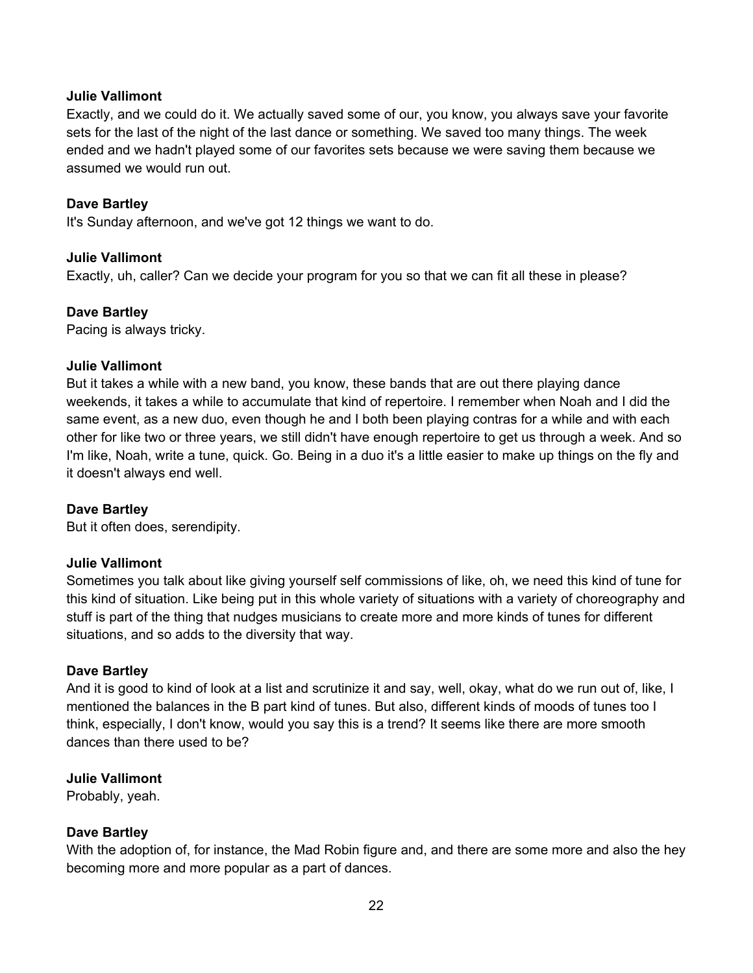Exactly, and we could do it. We actually saved some of our, you know, you always save your favorite sets for the last of the night of the last dance or something. We saved too many things. The week ended and we hadn't played some of our favorites sets because we were saving them because we assumed we would run out.

#### **Dave Bartley**

It's Sunday afternoon, and we've got 12 things we want to do.

#### **Julie Vallimont**

Exactly, uh, caller? Can we decide your program for you so that we can fit all these in please?

#### **Dave Bartley**

Pacing is always tricky.

#### **Julie Vallimont**

But it takes a while with a new band, you know, these bands that are out there playing dance weekends, it takes a while to accumulate that kind of repertoire. I remember when Noah and I did the same event, as a new duo, even though he and I both been playing contras for a while and with each other for like two or three years, we still didn't have enough repertoire to get us through a week. And so I'm like, Noah, write a tune, quick. Go. Being in a duo it's a little easier to make up things on the fly and it doesn't always end well.

# **Dave Bartley**

But it often does, serendipity.

#### **Julie Vallimont**

Sometimes you talk about like giving yourself self commissions of like, oh, we need this kind of tune for this kind of situation. Like being put in this whole variety of situations with a variety of choreography and stuff is part of the thing that nudges musicians to create more and more kinds of tunes for different situations, and so adds to the diversity that way.

#### **Dave Bartley**

And it is good to kind of look at a list and scrutinize it and say, well, okay, what do we run out of, like, I mentioned the balances in the B part kind of tunes. But also, different kinds of moods of tunes too I think, especially, I don't know, would you say this is a trend? It seems like there are more smooth dances than there used to be?

#### **Julie Vallimont**

Probably, yeah.

#### **Dave Bartley**

With the adoption of, for instance, the Mad Robin figure and, and there are some more and also the hey becoming more and more popular as a part of dances.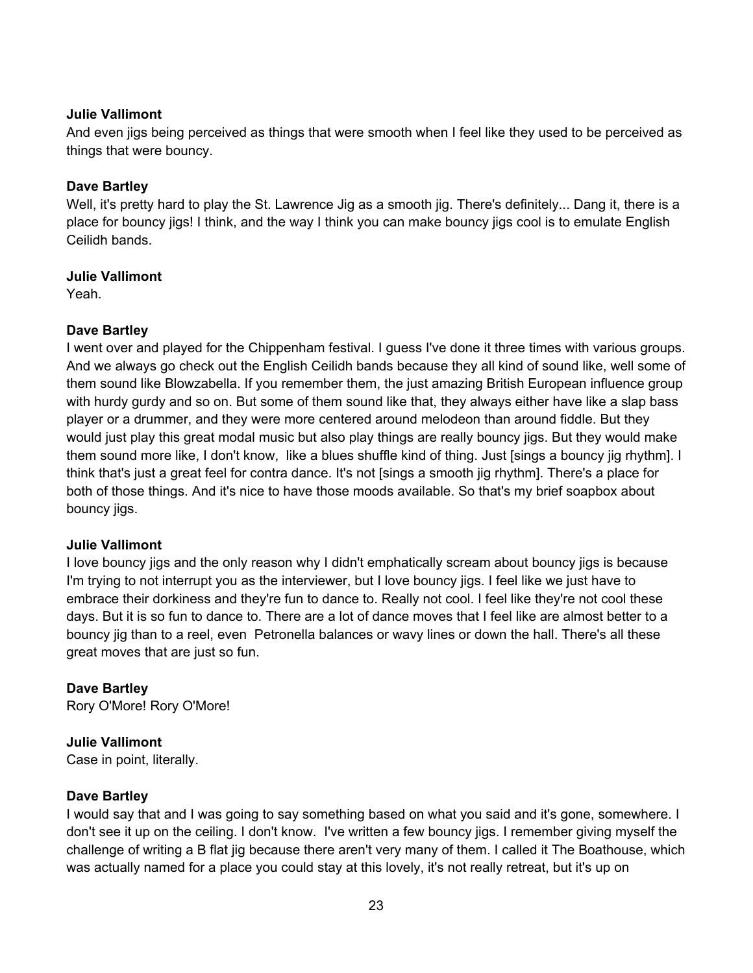And even jigs being perceived as things that were smooth when I feel like they used to be perceived as things that were bouncy.

# **Dave Bartley**

Well, it's pretty hard to play the St. Lawrence Jig as a smooth jig. There's definitely... Dang it, there is a place for bouncy jigs! I think, and the way I think you can make bouncy jigs cool is to emulate English Ceilidh bands.

# **Julie Vallimont**

Yeah.

# **Dave Bartley**

I went over and played for the Chippenham festival. I guess I've done it three times with various groups. And we always go check out the English Ceilidh bands because they all kind of sound like, well some of them sound like Blowzabella. If you remember them, the just amazing British European influence group with hurdy gurdy and so on. But some of them sound like that, they always either have like a slap bass player or a drummer, and they were more centered around melodeon than around fiddle. But they would just play this great modal music but also play things are really bouncy jigs. But they would make them sound more like, I don't know, like a blues shuffle kind of thing. Just [sings a bouncy jig rhythm]. I think that's just a great feel for contra dance. It's not [sings a smooth jig rhythm]. There's a place for both of those things. And it's nice to have those moods available. So that's my brief soapbox about bouncy jigs.

# **Julie Vallimont**

I love bouncy jigs and the only reason why I didn't emphatically scream about bouncy jigs is because I'm trying to not interrupt you as the interviewer, but I love bouncy jigs. I feel like we just have to embrace their dorkiness and they're fun to dance to. Really not cool. I feel like they're not cool these days. But it is so fun to dance to. There are a lot of dance moves that I feel like are almost better to a bouncy jig than to a reel, even Petronella balances or wavy lines or down the hall. There's all these great moves that are just so fun.

# **Dave Bartley**

Rory O'More! Rory O'More!

# **Julie Vallimont**

Case in point, literally.

# **Dave Bartley**

I would say that and I was going to say something based on what you said and it's gone, somewhere. I don't see it up on the ceiling. I don't know. I've written a few bouncy jigs. I remember giving myself the challenge of writing a B flat jig because there aren't very many of them. I called it The Boathouse, which was actually named for a place you could stay at this lovely, it's not really retreat, but it's up on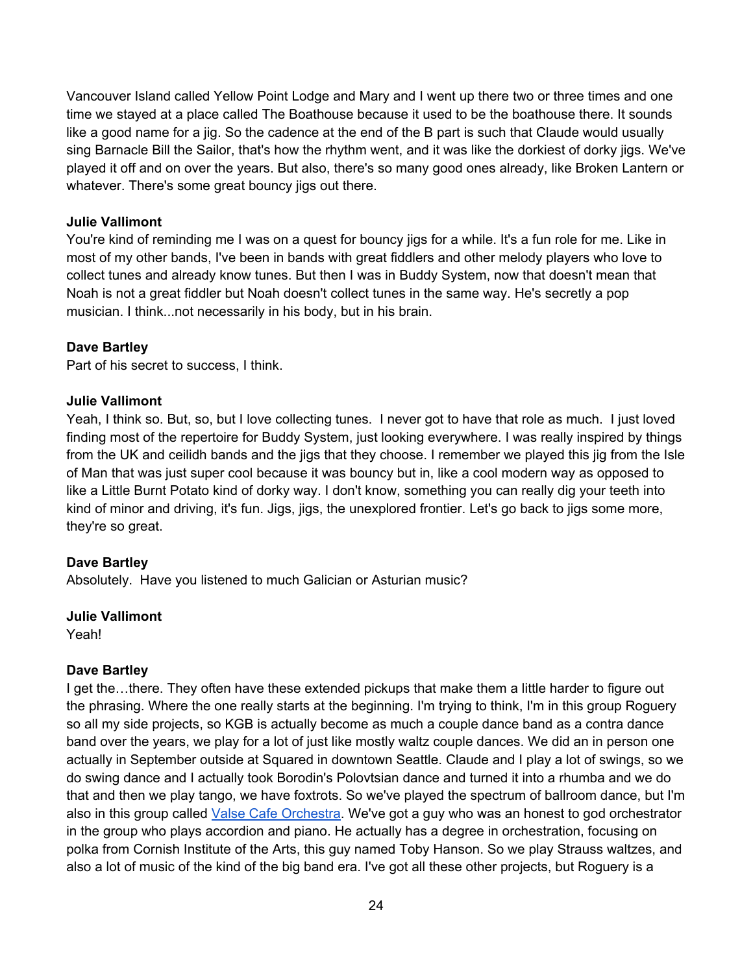Vancouver Island called Yellow Point Lodge and Mary and I went up there two or three times and one time we stayed at a place called The Boathouse because it used to be the boathouse there. It sounds like a good name for a jig. So the cadence at the end of the B part is such that Claude would usually sing Barnacle Bill the Sailor, that's how the rhythm went, and it was like the dorkiest of dorky jigs. We've played it off and on over the years. But also, there's so many good ones already, like Broken Lantern or whatever. There's some great bouncy jigs out there.

# **Julie Vallimont**

You're kind of reminding me I was on a quest for bouncy jigs for a while. It's a fun role for me. Like in most of my other bands, I've been in bands with great fiddlers and other melody players who love to collect tunes and already know tunes. But then I was in Buddy System, now that doesn't mean that Noah is not a great fiddler but Noah doesn't collect tunes in the same way. He's secretly a pop musician. I think...not necessarily in his body, but in his brain.

# **Dave Bartley**

Part of his secret to success, I think.

# **Julie Vallimont**

Yeah, I think so. But, so, but I love collecting tunes. I never got to have that role as much. I just loved finding most of the repertoire for Buddy System, just looking everywhere. I was really inspired by things from the UK and ceilidh bands and the jigs that they choose. I remember we played this jig from the Isle of Man that was just super cool because it was bouncy but in, like a cool modern way as opposed to like a Little Burnt Potato kind of dorky way. I don't know, something you can really dig your teeth into kind of minor and driving, it's fun. Jigs, jigs, the unexplored frontier. Let's go back to jigs some more, they're so great.

# **Dave Bartley**

Absolutely. Have you listened to much Galician or Asturian music?

#### **Julie Vallimont**

Yeah!

# **Dave Bartley**

I get the...there. They often have these extended pickups that make them a little harder to figure out the phrasing. Where the one really starts at the beginning. I'm trying to think, I'm in this group Roguery so all my side projects, so KGB is actually become as much a couple dance band as a contra dance band over the years, we play for a lot of just like mostly waltz couple dances. We did an in person one actually in September outside at Squared in downtown Seattle. Claude and I play a lot of swings, so we do swing dance and I actually took Borodin's Polovtsian dance and turned it into a rhumba and we do that and then we play tango, we have foxtrots. So we've played the spectrum of ballroom dance, but I'm also in this group called Valse Cafe Orchestra. We've got a guy who was an honest to god orchestrator in the group who plays accordion and piano. He actually has a degree in orchestration, focusing on polka from Cornish Institute of the Arts, this guy named Toby Hanson. So we play Strauss waltzes, and also a lot of music of the kind of the big band era. I've got all these other projects, but Roguery is a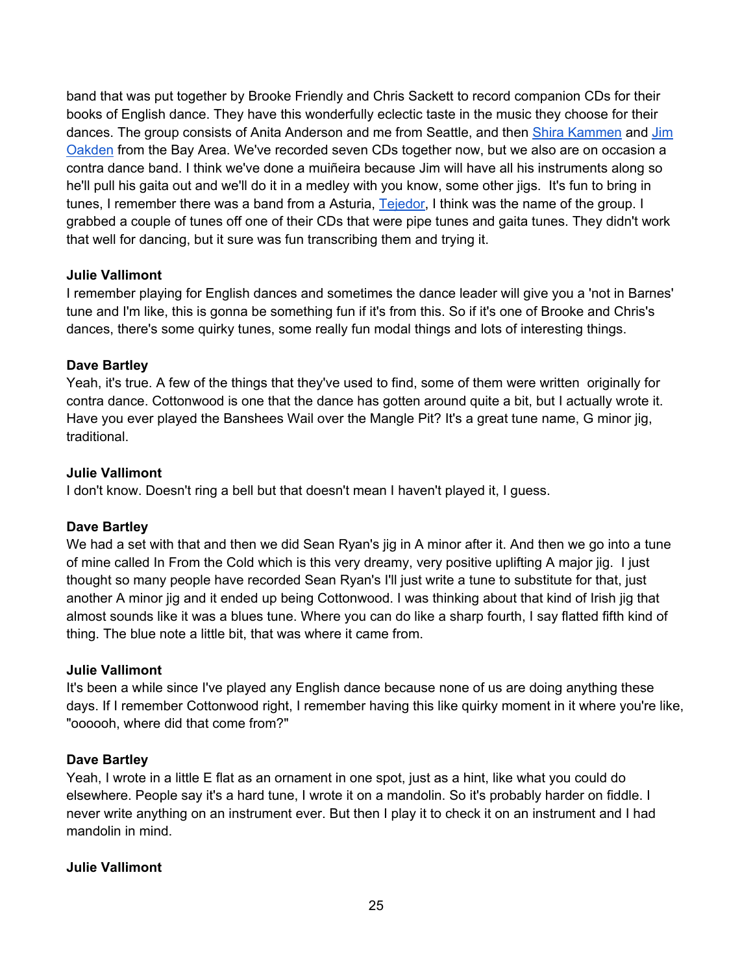band that was put together by Brooke Friendly and Chris Sackett to record companion CDs for their books of English dance. They have this wonderfully eclectic taste in the music they choose for their dances. The group consists of Anita Anderson and me from Seattle, and then Shira Kammen and Jim Oakden from the Bay Area. We've recorded seven CDs together now, but we also are on occasion a contra dance band. I think we've done a muiñeira because Jim will have all his instruments along so he'll pull his gaita out and we'll do it in a medley with you know, some other jigs. It's fun to bring in tunes, I remember there was a band from a Asturia, Tejedor, I think was the name of the group. I grabbed a couple of tunes off one of their CDs that were pipe tunes and gaita tunes. They didn't work that well for dancing, but it sure was fun transcribing them and trying it.

# **Julie Vallimont**

I remember playing for English dances and sometimes the dance leader will give you a 'not in Barnes' tune and I'm like, this is gonna be something fun if it's from this. So if it's one of Brooke and Chris's dances, there's some quirky tunes, some really fun modal things and lots of interesting things.

# **Dave Bartley**

Yeah, it's true. A few of the things that they've used to find, some of them were written originally for contra dance. Cottonwood is one that the dance has gotten around quite a bit, but I actually wrote it. Have you ever played the Banshees Wail over the Mangle Pit? It's a great tune name, G minor jig, traditional.

# **Julie Vallimont**

I don't know. Doesn't ring a bell but that doesn't mean I haven't played it, I guess.

# **Dave Bartley**

We had a set with that and then we did Sean Ryan's jig in A minor after it. And then we go into a tune of mine called In From the Cold which is this very dreamy, very positive uplifting A major jig. I just thought so many people have recorded Sean Ryan's I'll just write a tune to substitute for that, just another A minor jig and it ended up being Cottonwood. I was thinking about that kind of Irish jig that almost sounds like it was a blues tune. Where you can do like a sharp fourth, I say flatted fifth kind of thing. The blue note a little bit, that was where it came from.

# **Julie Vallimont**

It's been a while since I've played any English dance because none of us are doing anything these days. If I remember Cottonwood right, I remember having this like quirky moment in it where you're like, "oooooh, where did that come from?"

# **Dave Bartley**

Yeah, I wrote in a little E flat as an ornament in one spot, just as a hint, like what you could do elsewhere. People say it's a hard tune, I wrote it on a mandolin. So it's probably harder on fiddle. I never write anything on an instrument ever. But then I play it to check it on an instrument and I had mandolin in mind.

# **Julie Vallimont**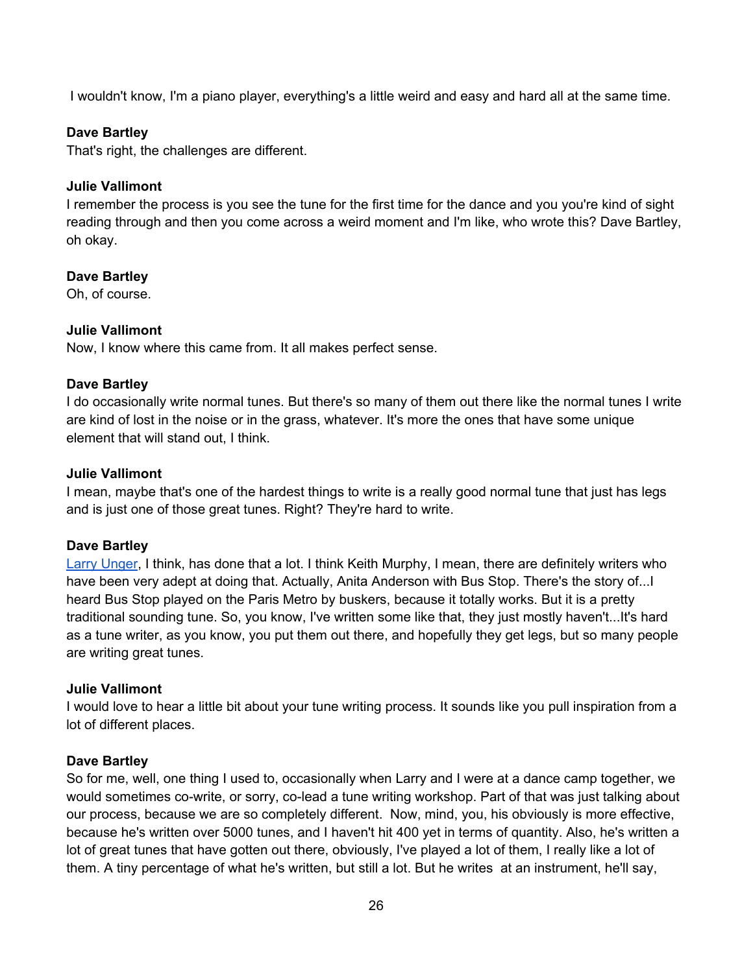I wouldn't know, I'm a piano player, everything's a little weird and easy and hard all at the same time.

## **Dave Bartley**

That's right, the challenges are different.

#### **Julie Vallimont**

I remember the process is you see the tune for the first time for the dance and you you're kind of sight reading through and then you come across a weird moment and I'm like, who wrote this? Dave Bartley, oh okay.

#### **Dave Bartley**

Oh, of course.

#### **Julie Vallimont**

Now, I know where this came from. It all makes perfect sense.

#### **Dave Bartley**

I do occasionally write normal tunes. But there's so many of them out there like the normal tunes I write are kind of lost in the noise or in the grass, whatever. It's more the ones that have some unique element that will stand out, I think.

## **Julie Vallimont**

I mean, maybe that's one of the hardest things to write is a really good normal tune that just has legs and is just one of those great tunes. Right? They're hard to write.

#### **Dave Bartley**

Larry Unger, I think, has done that a lot. I think Keith Murphy, I mean, there are definitely writers who have been very adept at doing that. Actually, Anita Anderson with Bus Stop. There's the story of...I heard Bus Stop played on the Paris Metro by buskers, because it totally works. But it is a pretty traditional sounding tune. So, you know, I've written some like that, they just mostly haven't...It's hard as a tune writer, as you know, you put them out there, and hopefully they get legs, but so many people are writing great tunes.

#### **Julie Vallimont**

I would love to hear a little bit about your tune writing process. It sounds like you pull inspiration from a lot of different places.

#### **Dave Bartley**

So for me, well, one thing I used to, occasionally when Larry and I were at a dance camp together, we would sometimes co-write, or sorry, co-lead a tune writing workshop. Part of that was just talking about our process, because we are so completely different. Now, mind, you, his obviously is more effective, because he's written over 5000 tunes, and I haven't hit 400 yet in terms of quantity. Also, he's written a lot of great tunes that have gotten out there, obviously, I've played a lot of them, I really like a lot of them. A tiny percentage of what he's written, but still a lot. But he writes at an instrument, he'll say,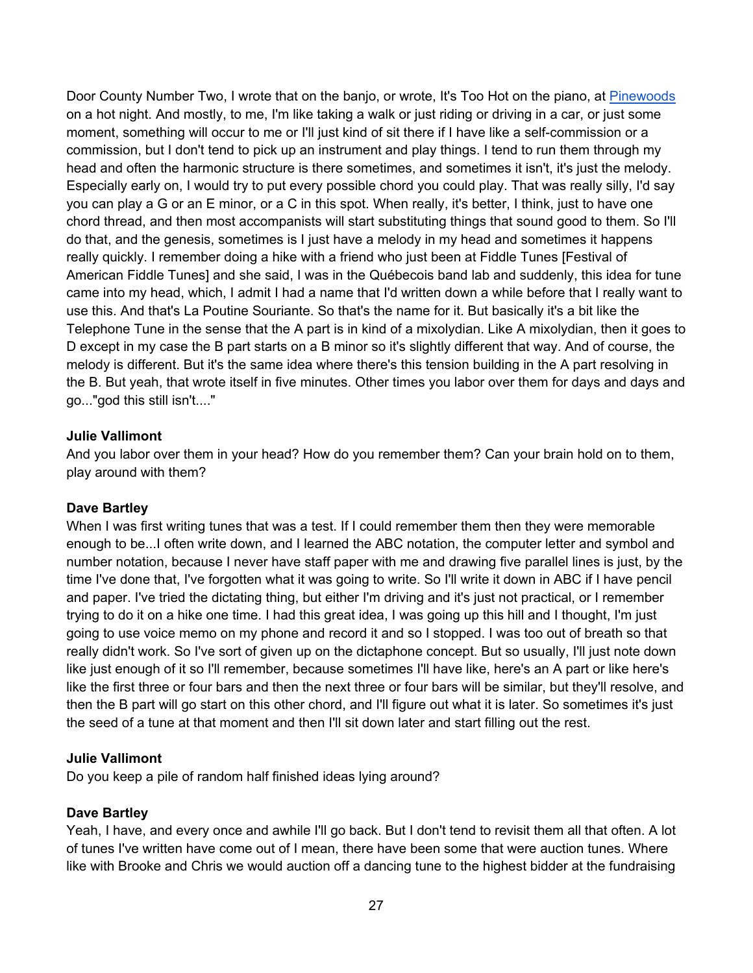Door County Number Two, I wrote that on the banjo, or wrote, It's Too Hot on the piano, at Pinewoods on a hot night. And mostly, to me, I'm like taking a walk or just riding or driving in a car, or just some moment, something will occur to me or I'll just kind of sit there if I have like a self-commission or a commission, but I don't tend to pick up an instrument and play things. I tend to run them through my head and often the harmonic structure is there sometimes, and sometimes it isn't, it's just the melody. Especially early on, I would try to put every possible chord you could play. That was really silly, I'd say you can play a G or an E minor, or a C in this spot. When really, it's better, I think, just to have one chord thread, and then most accompanists will start substituting things that sound good to them. So I'll do that, and the genesis, sometimes is I just have a melody in my head and sometimes it happens really quickly. I remember doing a hike with a friend who just been at Fiddle Tunes [Festival of American Fiddle Tunes] and she said, I was in the Québecois band lab and suddenly, this idea for tune came into my head, which, I admit I had a name that I'd written down a while before that I really want to use this. And that's La Poutine Souriante. So that's the name for it. But basically it's a bit like the Telephone Tune in the sense that the A part is in kind of a mixolydian. Like A mixolydian, then it goes to D except in my case the B part starts on a B minor so it's slightly different that way. And of course, the melody is different. But it's the same idea where there's this tension building in the A part resolving in the B. But yeah, that wrote itself in five minutes. Other times you labor over them for days and days and go..."god this still isn't...."

# **Julie Vallimont**

And you labor over them in your head? How do you remember them? Can your brain hold on to them, play around with them?

# **Dave Bartley**

When I was first writing tunes that was a test. If I could remember them then they were memorable enough to be...I often write down, and I learned the ABC notation, the computer letter and symbol and number notation, because I never have staff paper with me and drawing five parallel lines is just, by the time I've done that, I've forgotten what it was going to write. So I'll write it down in ABC if I have pencil and paper. I've tried the dictating thing, but either I'm driving and it's just not practical, or I remember trying to do it on a hike one time. I had this great idea, I was going up this hill and I thought, I'm just going to use voice memo on my phone and record it and so I stopped. I was too out of breath so that really didn't work. So I've sort of given up on the dictaphone concept. But so usually, I'll just note down like just enough of it so I'll remember, because sometimes I'll have like, here's an A part or like here's like the first three or four bars and then the next three or four bars will be similar, but they'll resolve, and then the B part will go start on this other chord, and I'll figure out what it is later. So sometimes it's just the seed of a tune at that moment and then I'll sit down later and start filling out the rest.

# **Julie Vallimont**

Do you keep a pile of random half finished ideas lying around?

#### **Dave Bartley**

Yeah, I have, and every once and awhile I'll go back. But I don't tend to revisit them all that often. A lot of tunes I've written have come out of I mean, there have been some that were auction tunes. Where like with Brooke and Chris we would auction off a dancing tune to the highest bidder at the fundraising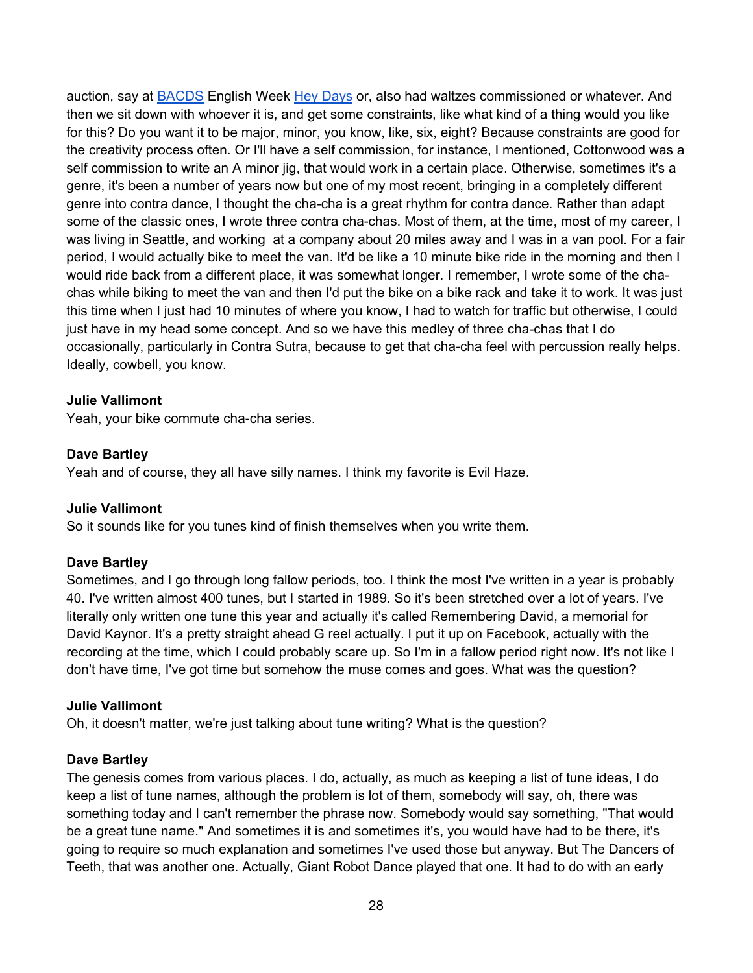auction, say at BACDS English Week Hey Days or, also had waltzes commissioned or whatever. And then we sit down with whoever it is, and get some constraints, like what kind of a thing would you like for this? Do you want it to be major, minor, you know, like, six, eight? Because constraints are good for the creativity process often. Or I'll have a self commission, for instance, I mentioned, Cottonwood was a self commission to write an A minor jig, that would work in a certain place. Otherwise, sometimes it's a genre, it's been a number of years now but one of my most recent, bringing in a completely different genre into contra dance, I thought the cha-cha is a great rhythm for contra dance. Rather than adapt some of the classic ones, I wrote three contra cha-chas. Most of them, at the time, most of my career, I was living in Seattle, and working at a company about 20 miles away and I was in a van pool. For a fair period, I would actually bike to meet the van. It'd be like a 10 minute bike ride in the morning and then I would ride back from a different place, it was somewhat longer. I remember, I wrote some of the chachas while biking to meet the van and then I'd put the bike on a bike rack and take it to work. It was just this time when I just had 10 minutes of where you know, I had to watch for traffic but otherwise, I could just have in my head some concept. And so we have this medley of three cha-chas that I do occasionally, particularly in Contra Sutra, because to get that cha-cha feel with percussion really helps. Ideally, cowbell, you know.

## **Julie Vallimont**

Yeah, your bike commute cha-cha series.

#### **Dave Bartley**

Yeah and of course, they all have silly names. I think my favorite is Evil Haze.

#### **Julie Vallimont**

So it sounds like for you tunes kind of finish themselves when you write them.

#### **Dave Bartley**

Sometimes, and I go through long fallow periods, too. I think the most I've written in a year is probably 40. I've written almost 400 tunes, but I started in 1989. So it's been stretched over a lot of years. I've literally only written one tune this year and actually it's called Remembering David, a memorial for David Kaynor. It's a pretty straight ahead G reel actually. I put it up on Facebook, actually with the recording at the time, which I could probably scare up. So I'm in a fallow period right now. It's not like I don't have time, I've got time but somehow the muse comes and goes. What was the question?

#### **Julie Vallimont**

Oh, it doesn't matter, we're just talking about tune writing? What is the question?

#### **Dave Bartley**

The genesis comes from various places. I do, actually, as much as keeping a list of tune ideas, I do keep a list of tune names, although the problem is lot of them, somebody will say, oh, there was something today and I can't remember the phrase now. Somebody would say something, "That would be a great tune name." And sometimes it is and sometimes it's, you would have had to be there, it's going to require so much explanation and sometimes I've used those but anyway. But The Dancers of Teeth, that was another one. Actually, Giant Robot Dance played that one. It had to do with an early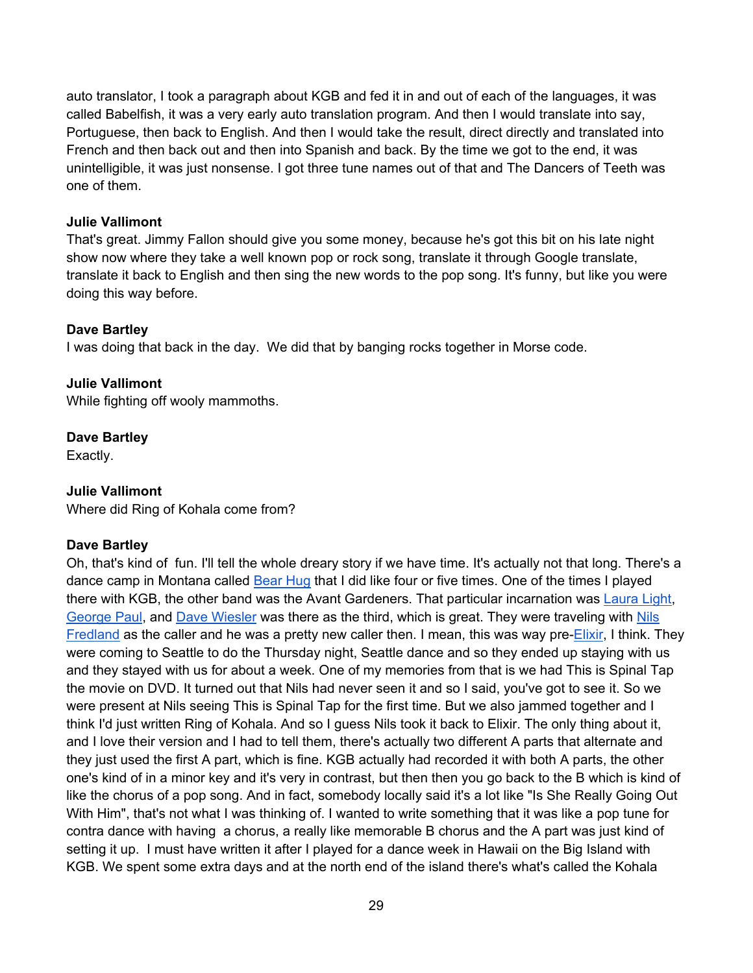auto translator, I took a paragraph about KGB and fed it in and out of each of the languages, it was called Babelfish, it was a very early auto translation program. And then I would translate into say, Portuguese, then back to English. And then I would take the result, direct directly and translated into French and then back out and then into Spanish and back. By the time we got to the end, it was unintelligible, it was just nonsense. I got three tune names out of that and The Dancers of Teeth was one of them.

# **Julie Vallimont**

That's great. Jimmy Fallon should give you some money, because he's got this bit on his late night show now where they take a well known pop or rock song, translate it through Google translate, translate it back to English and then sing the new words to the pop song. It's funny, but like you were doing this way before.

# **Dave Bartley**

I was doing that back in the day. We did that by banging rocks together in Morse code.

# **Julie Vallimont**

While fighting off wooly mammoths.

# **Dave Bartley**

Exactly.

# **Julie Vallimont**

Where did Ring of Kohala come from?

# **Dave Bartley**

Oh, that's kind of fun. I'll tell the whole dreary story if we have time. It's actually not that long. There's a dance camp in Montana called Bear Hug that I did like four or five times. One of the times I played there with KGB, the other band was the Avant Gardeners. That particular incarnation was Laura Light, George Paul, and Dave Wiesler was there as the third, which is great. They were traveling with Nils Fredland as the caller and he was a pretty new caller then. I mean, this was way pre-Elixir, I think. They were coming to Seattle to do the Thursday night, Seattle dance and so they ended up staying with us and they stayed with us for about a week. One of my memories from that is we had This is Spinal Tap the movie on DVD. It turned out that Nils had never seen it and so I said, you've got to see it. So we were present at Nils seeing This is Spinal Tap for the first time. But we also jammed together and I think I'd just written Ring of Kohala. And so I guess Nils took it back to Elixir. The only thing about it, and I love their version and I had to tell them, there's actually two different A parts that alternate and they just used the first A part, which is fine. KGB actually had recorded it with both A parts, the other one's kind of in a minor key and it's very in contrast, but then then you go back to the B which is kind of like the chorus of a pop song. And in fact, somebody locally said it's a lot like "Is She Really Going Out With Him", that's not what I was thinking of. I wanted to write something that it was like a pop tune for contra dance with having a chorus, a really like memorable B chorus and the A part was just kind of setting it up. I must have written it after I played for a dance week in Hawaii on the Big Island with KGB. We spent some extra days and at the north end of the island there's what's called the Kohala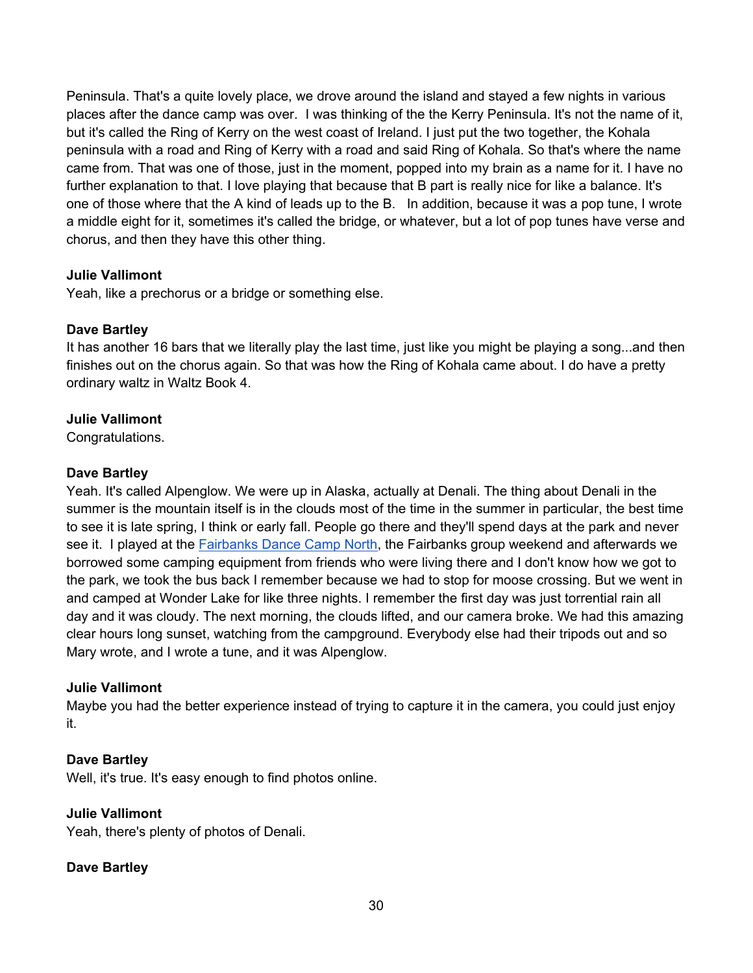Peninsula. That's a quite lovely place, we drove around the island and stayed a few nights in various places after the dance camp was over. I was thinking of the the Kerry Peninsula. It's not the name of it, but it's called the Ring of Kerry on the west coast of Ireland. I just put the two together, the Kohala peninsula with a road and Ring of Kerry with a road and said Ring of Kohala. So that's where the name came from. That was one of those, just in the moment, popped into my brain as a name for it. I have no further explanation to that. I love playing that because that B part is really nice for like a balance. It's one of those where that the A kind of leads up to the B. In addition, because it was a pop tune, I wrote a middle eight for it, sometimes it's called the bridge, or whatever, but a lot of pop tunes have verse and chorus, and then they have this other thing.

# **Julie Vallimont**

Yeah, like a prechorus or a bridge or something else.

# **Dave Bartley**

It has another 16 bars that we literally play the last time, just like you might be playing a song...and then finishes out on the chorus again. So that was how the Ring of Kohala came about. I do have a pretty ordinary waltz in Waltz Book 4.

# **Julie Vallimont**

Congratulations.

# **Dave Bartley**

Yeah. It's called Alpenglow. We were up in Alaska, actually at Denali. The thing about Denali in the summer is the mountain itself is in the clouds most of the time in the summer in particular, the best time to see it is late spring, I think or early fall. People go there and they'll spend days at the park and never see it. I played at the **Fairbanks Dance Camp North**, the Fairbanks group weekend and afterwards we borrowed some camping equipment from friends who were living there and I don't know how we got to the park, we took the bus back I remember because we had to stop for moose crossing. But we went in and camped at Wonder Lake for like three nights. I remember the first day was just torrential rain all day and it was cloudy. The next morning, the clouds lifted, and our camera broke. We had this amazing clear hours long sunset, watching from the campground. Everybody else had their tripods out and so Mary wrote, and I wrote a tune, and it was Alpenglow.

# **Julie Vallimont**

Maybe you had the better experience instead of trying to capture it in the camera, you could just enjoy it.

# **Dave Bartley**

Well, it's true. It's easy enough to find photos online.

# **Julie Vallimont**

Yeah, there's plenty of photos of Denali.

# **Dave Bartley**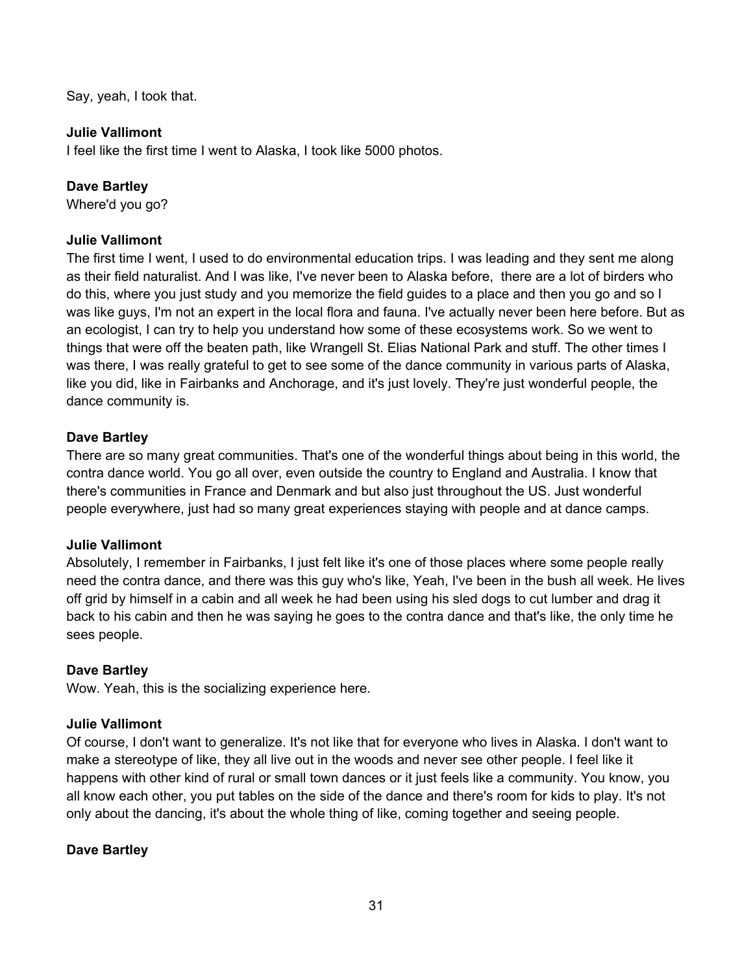Say, yeah, I took that.

# **Julie Vallimont**

I feel like the first time I went to Alaska, I took like 5000 photos.

# **Dave Bartley**

Where'd you go?

# **Julie Vallimont**

The first time I went, I used to do environmental education trips. I was leading and they sent me along as their field naturalist. And I was like, I've never been to Alaska before, there are a lot of birders who do this, where you just study and you memorize the field guides to a place and then you go and so I was like guys, I'm not an expert in the local flora and fauna. I've actually never been here before. But as an ecologist, I can try to help you understand how some of these ecosystems work. So we went to things that were off the beaten path, like Wrangell St. Elias National Park and stuff. The other times I was there, I was really grateful to get to see some of the dance community in various parts of Alaska, like you did, like in Fairbanks and Anchorage, and it's just lovely. They're just wonderful people, the dance community is.

# **Dave Bartley**

There are so many great communities. That's one of the wonderful things about being in this world, the contra dance world. You go all over, even outside the country to England and Australia. I know that there's communities in France and Denmark and but also just throughout the US. Just wonderful people everywhere, just had so many great experiences staying with people and at dance camps.

# **Julie Vallimont**

Absolutely, I remember in Fairbanks, I just felt like it's one of those places where some people really need the contra dance, and there was this guy who's like, Yeah, I've been in the bush all week. He lives off grid by himself in a cabin and all week he had been using his sled dogs to cut lumber and drag it back to his cabin and then he was saying he goes to the contra dance and that's like, the only time he sees people.

# **Dave Bartley**

Wow. Yeah, this is the socializing experience here.

# **Julie Vallimont**

Of course, I don't want to generalize. It's not like that for everyone who lives in Alaska. I don't want to make a stereotype of like, they all live out in the woods and never see other people. I feel like it happens with other kind of rural or small town dances or it just feels like a community. You know, you all know each other, you put tables on the side of the dance and there's room for kids to play. It's not only about the dancing, it's about the whole thing of like, coming together and seeing people.

# **Dave Bartley**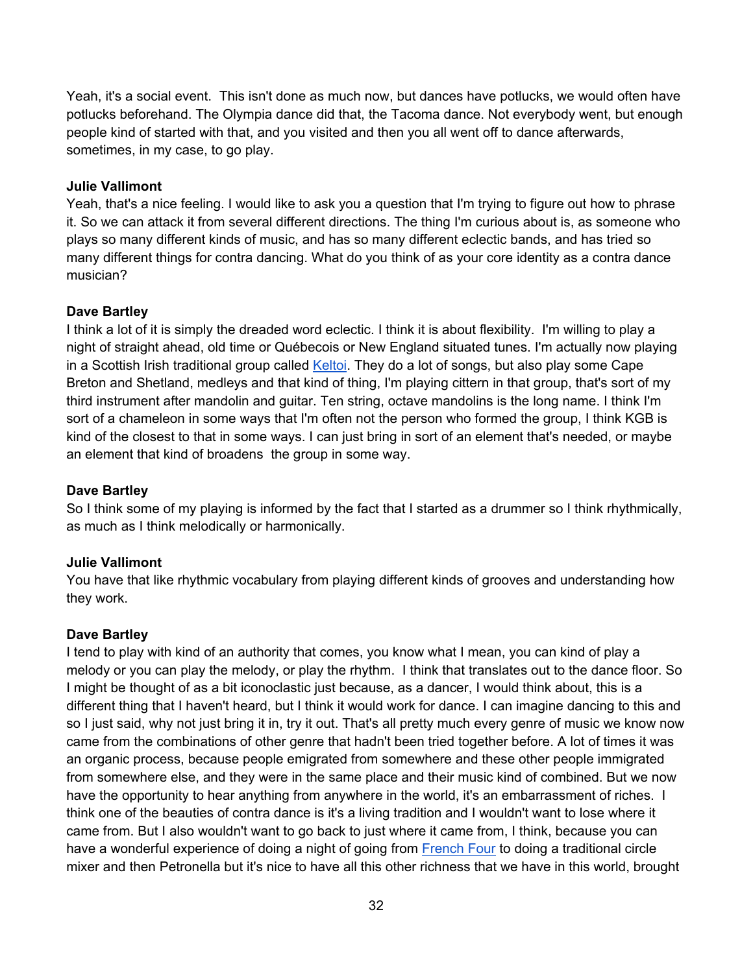Yeah, it's a social event. This isn't done as much now, but dances have potlucks, we would often have potlucks beforehand. The Olympia dance did that, the Tacoma dance. Not everybody went, but enough people kind of started with that, and you visited and then you all went off to dance afterwards, sometimes, in my case, to go play.

# **Julie Vallimont**

Yeah, that's a nice feeling. I would like to ask you a question that I'm trying to figure out how to phrase it. So we can attack it from several different directions. The thing I'm curious about is, as someone who plays so many different kinds of music, and has so many different eclectic bands, and has tried so many different things for contra dancing. What do you think of as your core identity as a contra dance musician?

# **Dave Bartley**

I think a lot of it is simply the dreaded word eclectic. I think it is about flexibility. I'm willing to play a night of straight ahead, old time or Québecois or New England situated tunes. I'm actually now playing in a Scottish Irish traditional group called Keltoi. They do a lot of songs, but also play some Cape Breton and Shetland, medleys and that kind of thing, I'm playing cittern in that group, that's sort of my third instrument after mandolin and guitar. Ten string, octave mandolins is the long name. I think I'm sort of a chameleon in some ways that I'm often not the person who formed the group, I think KGB is kind of the closest to that in some ways. I can just bring in sort of an element that's needed, or maybe an element that kind of broadens the group in some way.

# **Dave Bartley**

So I think some of my playing is informed by the fact that I started as a drummer so I think rhythmically, as much as I think melodically or harmonically.

# **Julie Vallimont**

You have that like rhythmic vocabulary from playing different kinds of grooves and understanding how they work.

# **Dave Bartley**

I tend to play with kind of an authority that comes, you know what I mean, you can kind of play a melody or you can play the melody, or play the rhythm. I think that translates out to the dance floor. So I might be thought of as a bit iconoclastic just because, as a dancer, I would think about, this is a different thing that I haven't heard, but I think it would work for dance. I can imagine dancing to this and so I just said, why not just bring it in, try it out. That's all pretty much every genre of music we know now came from the combinations of other genre that hadn't been tried together before. A lot of times it was an organic process, because people emigrated from somewhere and these other people immigrated from somewhere else, and they were in the same place and their music kind of combined. But we now have the opportunity to hear anything from anywhere in the world, it's an embarrassment of riches. I think one of the beauties of contra dance is it's a living tradition and I wouldn't want to lose where it came from. But I also wouldn't want to go back to just where it came from, I think, because you can have a wonderful experience of doing a night of going from French Four to doing a traditional circle mixer and then Petronella but it's nice to have all this other richness that we have in this world, brought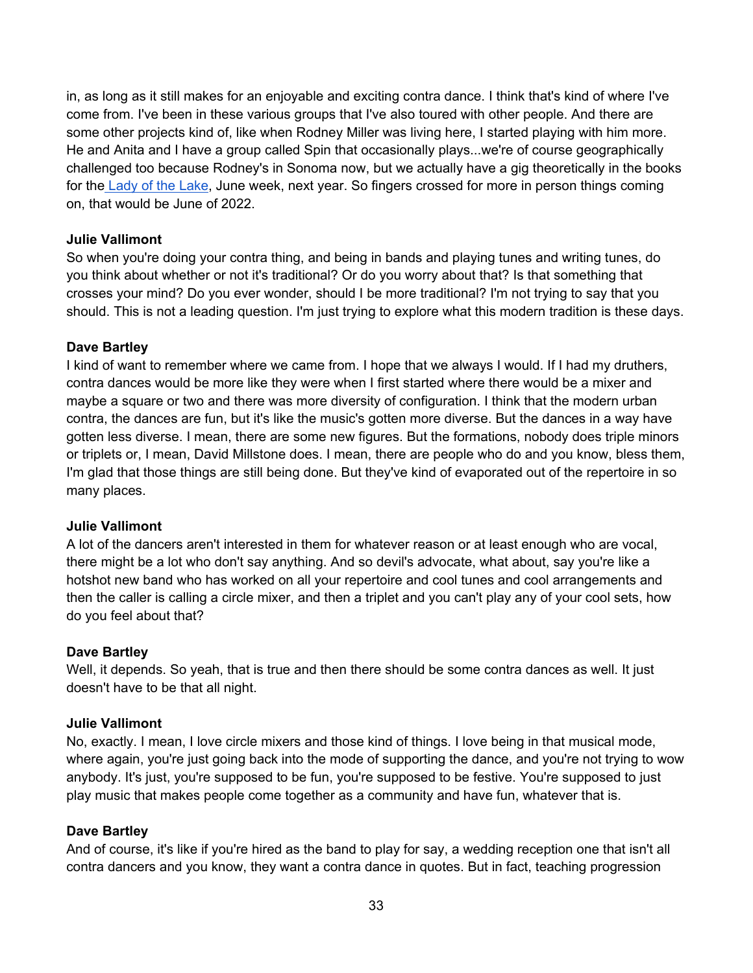in, as long as it still makes for an enjoyable and exciting contra dance. I think that's kind of where I've come from. I've been in these various groups that I've also toured with other people. And there are some other projects kind of, like when Rodney Miller was living here, I started playing with him more. He and Anita and I have a group called Spin that occasionally plays...we're of course geographically challenged too because Rodney's in Sonoma now, but we actually have a gig theoretically in the books for the Lady of the Lake, June week, next year. So fingers crossed for more in person things coming on, that would be June of 2022.

# **Julie Vallimont**

So when you're doing your contra thing, and being in bands and playing tunes and writing tunes, do you think about whether or not it's traditional? Or do you worry about that? Is that something that crosses your mind? Do you ever wonder, should I be more traditional? I'm not trying to say that you should. This is not a leading question. I'm just trying to explore what this modern tradition is these days.

# **Dave Bartley**

I kind of want to remember where we came from. I hope that we always I would. If I had my druthers, contra dances would be more like they were when I first started where there would be a mixer and maybe a square or two and there was more diversity of configuration. I think that the modern urban contra, the dances are fun, but it's like the music's gotten more diverse. But the dances in a way have gotten less diverse. I mean, there are some new figures. But the formations, nobody does triple minors or triplets or, I mean, David Millstone does. I mean, there are people who do and you know, bless them, I'm glad that those things are still being done. But they've kind of evaporated out of the repertoire in so many places.

# **Julie Vallimont**

A lot of the dancers aren't interested in them for whatever reason or at least enough who are vocal, there might be a lot who don't say anything. And so devil's advocate, what about, say you're like a hotshot new band who has worked on all your repertoire and cool tunes and cool arrangements and then the caller is calling a circle mixer, and then a triplet and you can't play any of your cool sets, how do you feel about that?

# **Dave Bartley**

Well, it depends. So yeah, that is true and then there should be some contra dances as well. It just doesn't have to be that all night.

# **Julie Vallimont**

No, exactly. I mean, I love circle mixers and those kind of things. I love being in that musical mode, where again, you're just going back into the mode of supporting the dance, and you're not trying to wow anybody. It's just, you're supposed to be fun, you're supposed to be festive. You're supposed to just play music that makes people come together as a community and have fun, whatever that is.

# **Dave Bartley**

And of course, it's like if you're hired as the band to play for say, a wedding reception one that isn't all contra dancers and you know, they want a contra dance in quotes. But in fact, teaching progression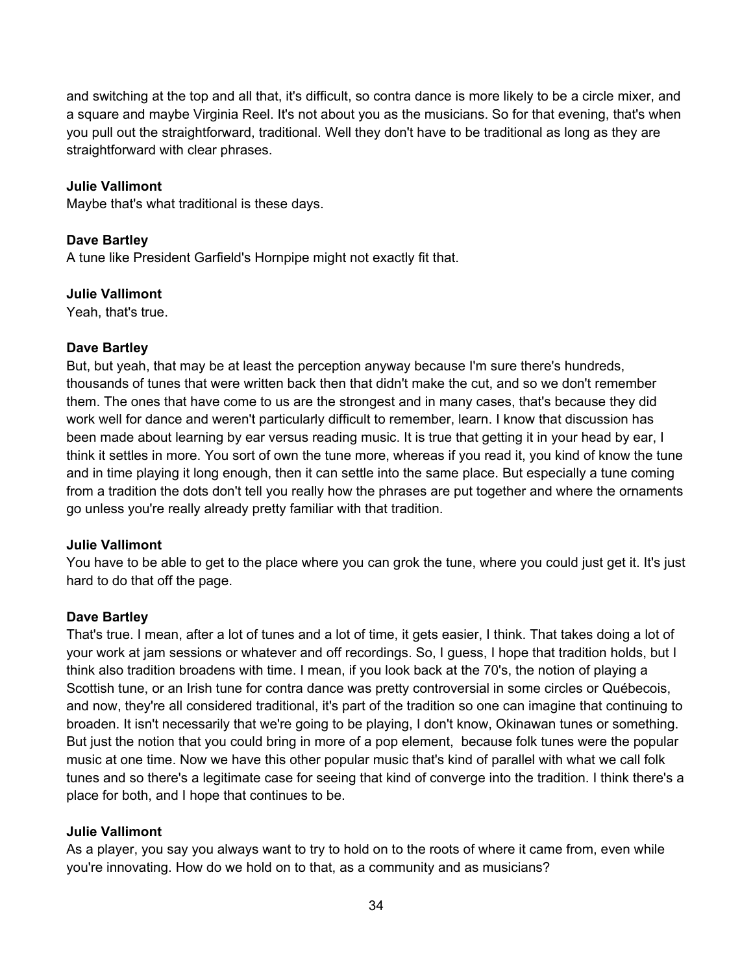and switching at the top and all that, it's difficult, so contra dance is more likely to be a circle mixer, and a square and maybe Virginia Reel. It's not about you as the musicians. So for that evening, that's when you pull out the straightforward, traditional. Well they don't have to be traditional as long as they are straightforward with clear phrases.

# **Julie Vallimont**

Maybe that's what traditional is these days.

# **Dave Bartley**

A tune like President Garfield's Hornpipe might not exactly fit that.

#### **Julie Vallimont**

Yeah, that's true.

# **Dave Bartley**

But, but yeah, that may be at least the perception anyway because I'm sure there's hundreds, thousands of tunes that were written back then that didn't make the cut, and so we don't remember them. The ones that have come to us are the strongest and in many cases, that's because they did work well for dance and weren't particularly difficult to remember, learn. I know that discussion has been made about learning by ear versus reading music. It is true that getting it in your head by ear, I think it settles in more. You sort of own the tune more, whereas if you read it, you kind of know the tune and in time playing it long enough, then it can settle into the same place. But especially a tune coming from a tradition the dots don't tell you really how the phrases are put together and where the ornaments go unless you're really already pretty familiar with that tradition.

# **Julie Vallimont**

You have to be able to get to the place where you can grok the tune, where you could just get it. It's just hard to do that off the page.

# **Dave Bartley**

That's true. I mean, after a lot of tunes and a lot of time, it gets easier, I think. That takes doing a lot of your work at jam sessions or whatever and off recordings. So, I guess, I hope that tradition holds, but I think also tradition broadens with time. I mean, if you look back at the 70's, the notion of playing a Scottish tune, or an Irish tune for contra dance was pretty controversial in some circles or Québecois, and now, they're all considered traditional, it's part of the tradition so one can imagine that continuing to broaden. It isn't necessarily that we're going to be playing, I don't know, Okinawan tunes or something. But just the notion that you could bring in more of a pop element, because folk tunes were the popular music at one time. Now we have this other popular music that's kind of parallel with what we call folk tunes and so there's a legitimate case for seeing that kind of converge into the tradition. I think there's a place for both, and I hope that continues to be.

# **Julie Vallimont**

As a player, you say you always want to try to hold on to the roots of where it came from, even while you're innovating. How do we hold on to that, as a community and as musicians?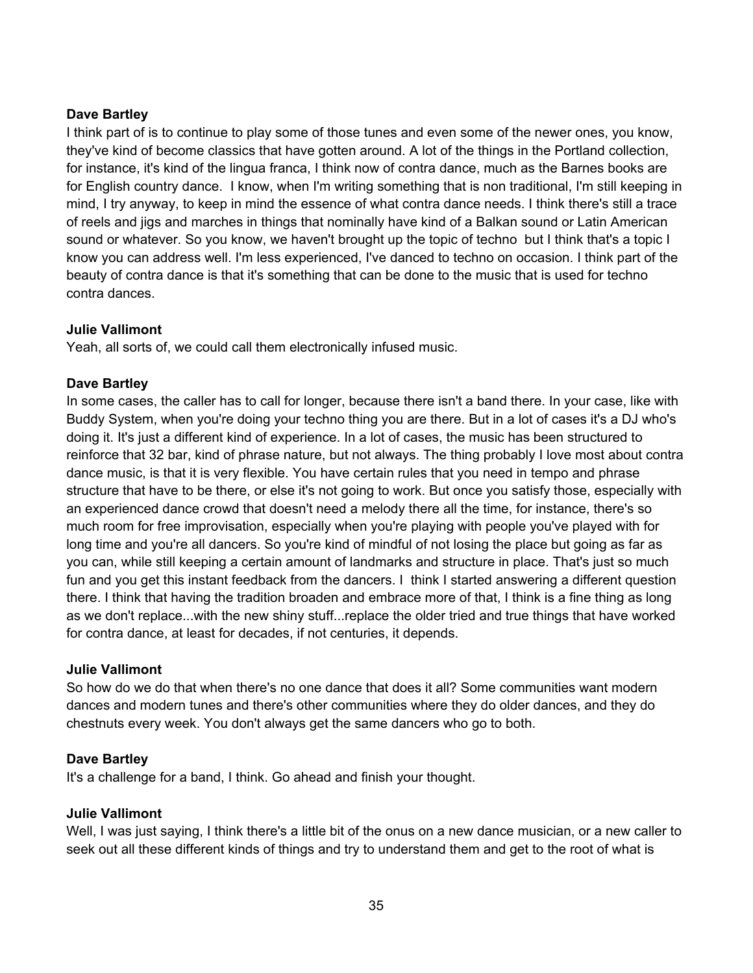# **Dave Bartley**

I think part of is to continue to play some of those tunes and even some of the newer ones, you know, they've kind of become classics that have gotten around. A lot of the things in the Portland collection, for instance, it's kind of the lingua franca, I think now of contra dance, much as the Barnes books are for English country dance. I know, when I'm writing something that is non traditional, I'm still keeping in mind, I try anyway, to keep in mind the essence of what contra dance needs. I think there's still a trace of reels and jigs and marches in things that nominally have kind of a Balkan sound or Latin American sound or whatever. So you know, we haven't brought up the topic of techno but I think that's a topic I know you can address well. I'm less experienced, I've danced to techno on occasion. I think part of the beauty of contra dance is that it's something that can be done to the music that is used for techno contra dances.

# **Julie Vallimont**

Yeah, all sorts of, we could call them electronically infused music.

# **Dave Bartley**

In some cases, the caller has to call for longer, because there isn't a band there. In your case, like with Buddy System, when you're doing your techno thing you are there. But in a lot of cases it's a DJ who's doing it. It's just a different kind of experience. In a lot of cases, the music has been structured to reinforce that 32 bar, kind of phrase nature, but not always. The thing probably I love most about contra dance music, is that it is very flexible. You have certain rules that you need in tempo and phrase structure that have to be there, or else it's not going to work. But once you satisfy those, especially with an experienced dance crowd that doesn't need a melody there all the time, for instance, there's so much room for free improvisation, especially when you're playing with people you've played with for long time and you're all dancers. So you're kind of mindful of not losing the place but going as far as you can, while still keeping a certain amount of landmarks and structure in place. That's just so much fun and you get this instant feedback from the dancers. I think I started answering a different question there. I think that having the tradition broaden and embrace more of that, I think is a fine thing as long as we don't replace...with the new shiny stuff...replace the older tried and true things that have worked for contra dance, at least for decades, if not centuries, it depends.

# **Julie Vallimont**

So how do we do that when there's no one dance that does it all? Some communities want modern dances and modern tunes and there's other communities where they do older dances, and they do chestnuts every week. You don't always get the same dancers who go to both.

# **Dave Bartley**

It's a challenge for a band, I think. Go ahead and finish your thought.

# **Julie Vallimont**

Well, I was just saying, I think there's a little bit of the onus on a new dance musician, or a new caller to seek out all these different kinds of things and try to understand them and get to the root of what is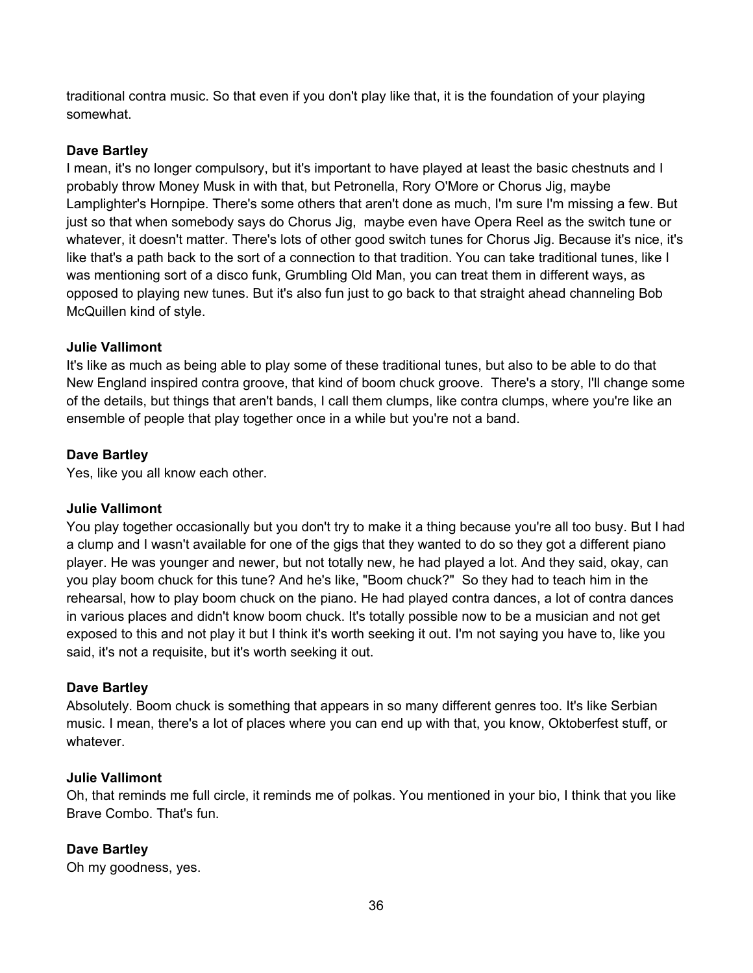traditional contra music. So that even if you don't play like that, it is the foundation of your playing somewhat.

# **Dave Bartley**

I mean, it's no longer compulsory, but it's important to have played at least the basic chestnuts and I probably throw Money Musk in with that, but Petronella, Rory O'More or Chorus Jig, maybe Lamplighter's Hornpipe. There's some others that aren't done as much, I'm sure I'm missing a few. But just so that when somebody says do Chorus Jig, maybe even have Opera Reel as the switch tune or whatever, it doesn't matter. There's lots of other good switch tunes for Chorus Jig. Because it's nice, it's like that's a path back to the sort of a connection to that tradition. You can take traditional tunes, like I was mentioning sort of a disco funk, Grumbling Old Man, you can treat them in different ways, as opposed to playing new tunes. But it's also fun just to go back to that straight ahead channeling Bob McQuillen kind of style.

# **Julie Vallimont**

It's like as much as being able to play some of these traditional tunes, but also to be able to do that New England inspired contra groove, that kind of boom chuck groove. There's a story, I'll change some of the details, but things that aren't bands, I call them clumps, like contra clumps, where you're like an ensemble of people that play together once in a while but you're not a band.

# **Dave Bartley**

Yes, like you all know each other.

# **Julie Vallimont**

You play together occasionally but you don't try to make it a thing because you're all too busy. But I had a clump and I wasn't available for one of the gigs that they wanted to do so they got a different piano player. He was younger and newer, but not totally new, he had played a lot. And they said, okay, can you play boom chuck for this tune? And he's like, "Boom chuck?" So they had to teach him in the rehearsal, how to play boom chuck on the piano. He had played contra dances, a lot of contra dances in various places and didn't know boom chuck. It's totally possible now to be a musician and not get exposed to this and not play it but I think it's worth seeking it out. I'm not saying you have to, like you said, it's not a requisite, but it's worth seeking it out.

# **Dave Bartley**

Absolutely. Boom chuck is something that appears in so many different genres too. It's like Serbian music. I mean, there's a lot of places where you can end up with that, you know, Oktoberfest stuff, or whatever.

# **Julie Vallimont**

Oh, that reminds me full circle, it reminds me of polkas. You mentioned in your bio, I think that you like Brave Combo. That's fun.

# **Dave Bartley**

Oh my goodness, yes.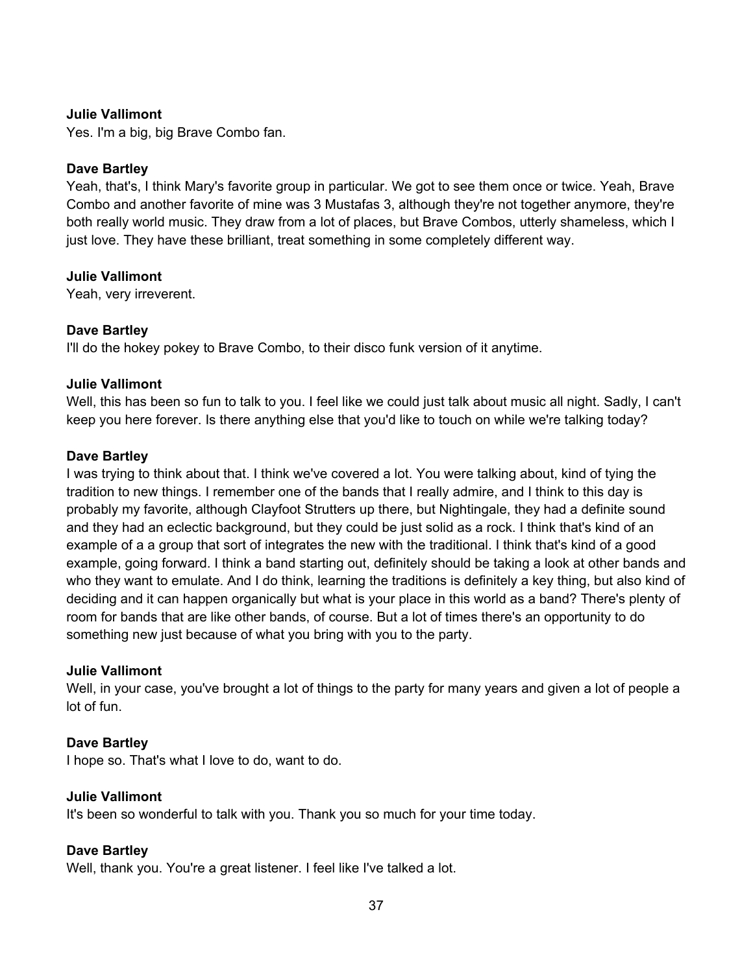Yes. I'm a big, big Brave Combo fan.

## **Dave Bartley**

Yeah, that's, I think Mary's favorite group in particular. We got to see them once or twice. Yeah, Brave Combo and another favorite of mine was 3 Mustafas 3, although they're not together anymore, they're both really world music. They draw from a lot of places, but Brave Combos, utterly shameless, which I just love. They have these brilliant, treat something in some completely different way.

#### **Julie Vallimont**

Yeah, very irreverent.

# **Dave Bartley**

I'll do the hokey pokey to Brave Combo, to their disco funk version of it anytime.

#### **Julie Vallimont**

Well, this has been so fun to talk to you. I feel like we could just talk about music all night. Sadly, I can't keep you here forever. Is there anything else that you'd like to touch on while we're talking today?

#### **Dave Bartley**

I was trying to think about that. I think we've covered a lot. You were talking about, kind of tying the tradition to new things. I remember one of the bands that I really admire, and I think to this day is probably my favorite, although Clayfoot Strutters up there, but Nightingale, they had a definite sound and they had an eclectic background, but they could be just solid as a rock. I think that's kind of an example of a a group that sort of integrates the new with the traditional. I think that's kind of a good example, going forward. I think a band starting out, definitely should be taking a look at other bands and who they want to emulate. And I do think, learning the traditions is definitely a key thing, but also kind of deciding and it can happen organically but what is your place in this world as a band? There's plenty of room for bands that are like other bands, of course. But a lot of times there's an opportunity to do something new just because of what you bring with you to the party.

#### **Julie Vallimont**

Well, in your case, you've brought a lot of things to the party for many years and given a lot of people a lot of fun.

# **Dave Bartley**

I hope so. That's what I love to do, want to do.

#### **Julie Vallimont**

It's been so wonderful to talk with you. Thank you so much for your time today.

# **Dave Bartley**

Well, thank you. You're a great listener. I feel like I've talked a lot.